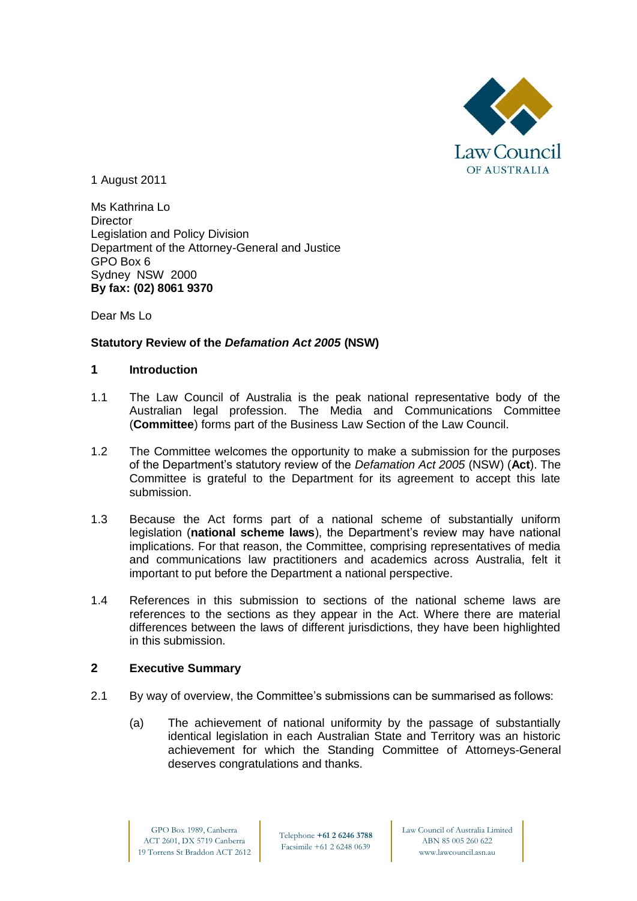

1 August 2011

Ms Kathrina Lo **Director** Legislation and Policy Division Department of the Attorney-General and Justice GPO Box 6 Sydney NSW 2000 **By fax: (02) 8061 9370**

Dear Ms Lo

# **Statutory Review of the** *Defamation Act 2005* **(NSW)**

### **1 Introduction**

- 1.1 The Law Council of Australia is the peak national representative body of the Australian legal profession. The Media and Communications Committee (**Committee**) forms part of the Business Law Section of the Law Council.
- 1.2 The Committee welcomes the opportunity to make a submission for the purposes of the Department's statutory review of the *Defamation Act 2005* (NSW) (**Act**). The Committee is grateful to the Department for its agreement to accept this late submission.
- 1.3 Because the Act forms part of a national scheme of substantially uniform legislation (**national scheme laws**), the Department's review may have national implications. For that reason, the Committee, comprising representatives of media and communications law practitioners and academics across Australia, felt it important to put before the Department a national perspective.
- 1.4 References in this submission to sections of the national scheme laws are references to the sections as they appear in the Act. Where there are material differences between the laws of different jurisdictions, they have been highlighted in this submission.

### **2 Executive Summary**

- 2.1 By way of overview, the Committee's submissions can be summarised as follows:
	- (a) The achievement of national uniformity by the passage of substantially identical legislation in each Australian State and Territory was an historic achievement for which the Standing Committee of Attorneys-General deserves congratulations and thanks.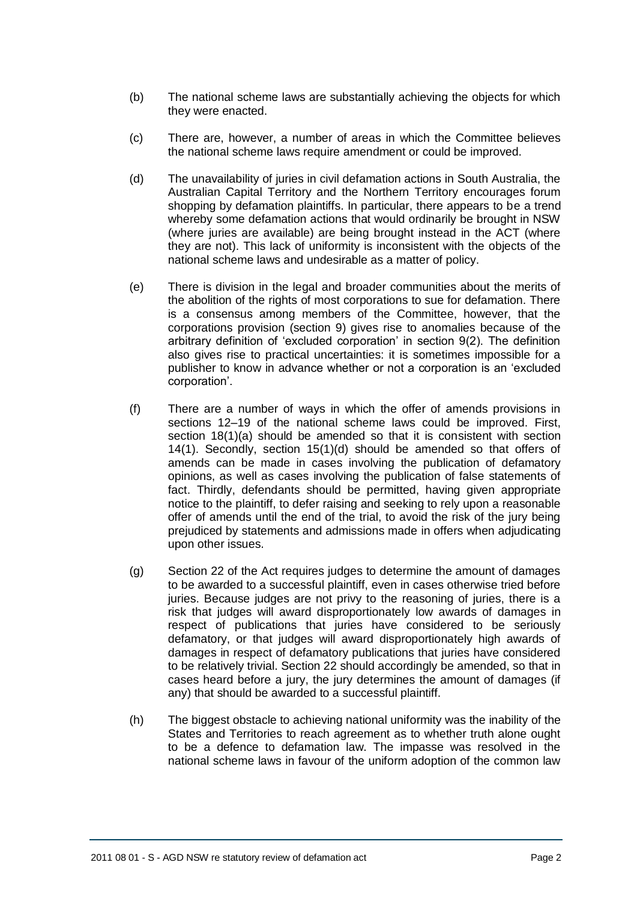- (b) The national scheme laws are substantially achieving the objects for which they were enacted.
- (c) There are, however, a number of areas in which the Committee believes the national scheme laws require amendment or could be improved.
- (d) The unavailability of juries in civil defamation actions in South Australia, the Australian Capital Territory and the Northern Territory encourages forum shopping by defamation plaintiffs. In particular, there appears to be a trend whereby some defamation actions that would ordinarily be brought in NSW (where juries are available) are being brought instead in the ACT (where they are not). This lack of uniformity is inconsistent with the objects of the national scheme laws and undesirable as a matter of policy.
- (e) There is division in the legal and broader communities about the merits of the abolition of the rights of most corporations to sue for defamation. There is a consensus among members of the Committee, however, that the corporations provision (section 9) gives rise to anomalies because of the arbitrary definition of 'excluded corporation' in section 9(2). The definition also gives rise to practical uncertainties: it is sometimes impossible for a publisher to know in advance whether or not a corporation is an 'excluded corporation'.
- (f) There are a number of ways in which the offer of amends provisions in sections 12–19 of the national scheme laws could be improved. First, section 18(1)(a) should be amended so that it is consistent with section 14(1). Secondly, section 15(1)(d) should be amended so that offers of amends can be made in cases involving the publication of defamatory opinions, as well as cases involving the publication of false statements of fact. Thirdly, defendants should be permitted, having given appropriate notice to the plaintiff, to defer raising and seeking to rely upon a reasonable offer of amends until the end of the trial, to avoid the risk of the jury being prejudiced by statements and admissions made in offers when adjudicating upon other issues.
- (g) Section 22 of the Act requires judges to determine the amount of damages to be awarded to a successful plaintiff, even in cases otherwise tried before juries. Because judges are not privy to the reasoning of juries, there is a risk that judges will award disproportionately low awards of damages in respect of publications that juries have considered to be seriously defamatory, or that judges will award disproportionately high awards of damages in respect of defamatory publications that juries have considered to be relatively trivial. Section 22 should accordingly be amended, so that in cases heard before a jury, the jury determines the amount of damages (if any) that should be awarded to a successful plaintiff.
- (h) The biggest obstacle to achieving national uniformity was the inability of the States and Territories to reach agreement as to whether truth alone ought to be a defence to defamation law. The impasse was resolved in the national scheme laws in favour of the uniform adoption of the common law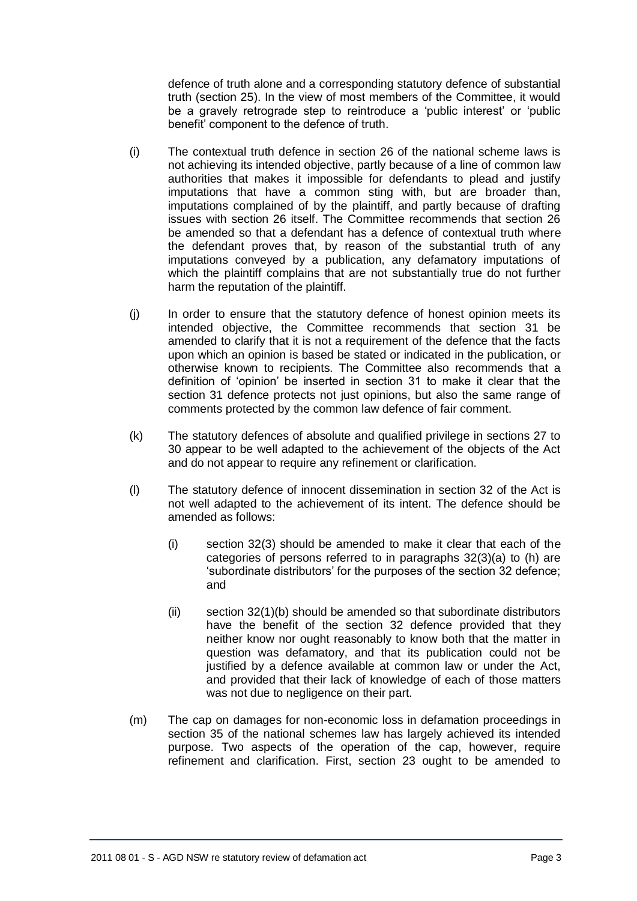defence of truth alone and a corresponding statutory defence of substantial truth (section 25). In the view of most members of the Committee, it would be a gravely retrograde step to reintroduce a 'public interest' or 'public benefit' component to the defence of truth.

- (i) The contextual truth defence in section 26 of the national scheme laws is not achieving its intended objective, partly because of a line of common law authorities that makes it impossible for defendants to plead and justify imputations that have a common sting with, but are broader than, imputations complained of by the plaintiff, and partly because of drafting issues with section 26 itself. The Committee recommends that section 26 be amended so that a defendant has a defence of contextual truth where the defendant proves that, by reason of the substantial truth of any imputations conveyed by a publication, any defamatory imputations of which the plaintiff complains that are not substantially true do not further harm the reputation of the plaintiff.
- (j) In order to ensure that the statutory defence of honest opinion meets its intended objective, the Committee recommends that section 31 be amended to clarify that it is not a requirement of the defence that the facts upon which an opinion is based be stated or indicated in the publication, or otherwise known to recipients. The Committee also recommends that a definition of 'opinion' be inserted in section 31 to make it clear that the section 31 defence protects not just opinions, but also the same range of comments protected by the common law defence of fair comment.
- (k) The statutory defences of absolute and qualified privilege in sections 27 to 30 appear to be well adapted to the achievement of the objects of the Act and do not appear to require any refinement or clarification.
- (l) The statutory defence of innocent dissemination in section 32 of the Act is not well adapted to the achievement of its intent. The defence should be amended as follows:
	- (i) section 32(3) should be amended to make it clear that each of the categories of persons referred to in paragraphs 32(3)(a) to (h) are 'subordinate distributors' for the purposes of the section 32 defence; and
	- (ii) section 32(1)(b) should be amended so that subordinate distributors have the benefit of the section 32 defence provided that they neither know nor ought reasonably to know both that the matter in question was defamatory, and that its publication could not be justified by a defence available at common law or under the Act, and provided that their lack of knowledge of each of those matters was not due to negligence on their part.
- (m) The cap on damages for non-economic loss in defamation proceedings in section 35 of the national schemes law has largely achieved its intended purpose. Two aspects of the operation of the cap, however, require refinement and clarification. First, section 23 ought to be amended to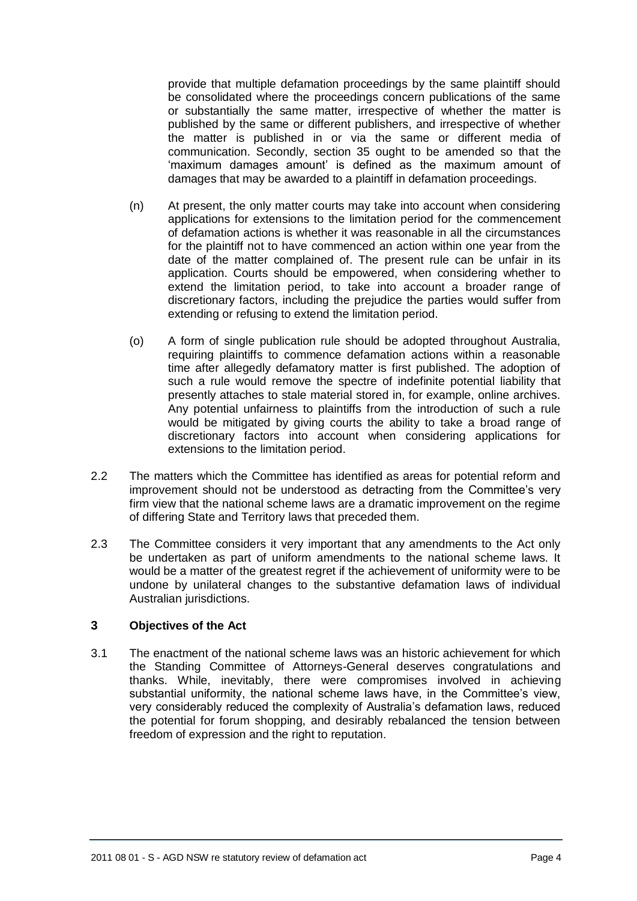provide that multiple defamation proceedings by the same plaintiff should be consolidated where the proceedings concern publications of the same or substantially the same matter, irrespective of whether the matter is published by the same or different publishers, and irrespective of whether the matter is published in or via the same or different media of communication. Secondly, section 35 ought to be amended so that the 'maximum damages amount' is defined as the maximum amount of damages that may be awarded to a plaintiff in defamation proceedings.

- (n) At present, the only matter courts may take into account when considering applications for extensions to the limitation period for the commencement of defamation actions is whether it was reasonable in all the circumstances for the plaintiff not to have commenced an action within one year from the date of the matter complained of. The present rule can be unfair in its application. Courts should be empowered, when considering whether to extend the limitation period, to take into account a broader range of discretionary factors, including the prejudice the parties would suffer from extending or refusing to extend the limitation period.
- (o) A form of single publication rule should be adopted throughout Australia, requiring plaintiffs to commence defamation actions within a reasonable time after allegedly defamatory matter is first published. The adoption of such a rule would remove the spectre of indefinite potential liability that presently attaches to stale material stored in, for example, online archives. Any potential unfairness to plaintiffs from the introduction of such a rule would be mitigated by giving courts the ability to take a broad range of discretionary factors into account when considering applications for extensions to the limitation period.
- 2.2 The matters which the Committee has identified as areas for potential reform and improvement should not be understood as detracting from the Committee's very firm view that the national scheme laws are a dramatic improvement on the regime of differing State and Territory laws that preceded them.
- 2.3 The Committee considers it very important that any amendments to the Act only be undertaken as part of uniform amendments to the national scheme laws. It would be a matter of the greatest regret if the achievement of uniformity were to be undone by unilateral changes to the substantive defamation laws of individual Australian jurisdictions.

### **3 Objectives of the Act**

3.1 The enactment of the national scheme laws was an historic achievement for which the Standing Committee of Attorneys-General deserves congratulations and thanks. While, inevitably, there were compromises involved in achieving substantial uniformity, the national scheme laws have, in the Committee's view, very considerably reduced the complexity of Australia's defamation laws, reduced the potential for forum shopping, and desirably rebalanced the tension between freedom of expression and the right to reputation.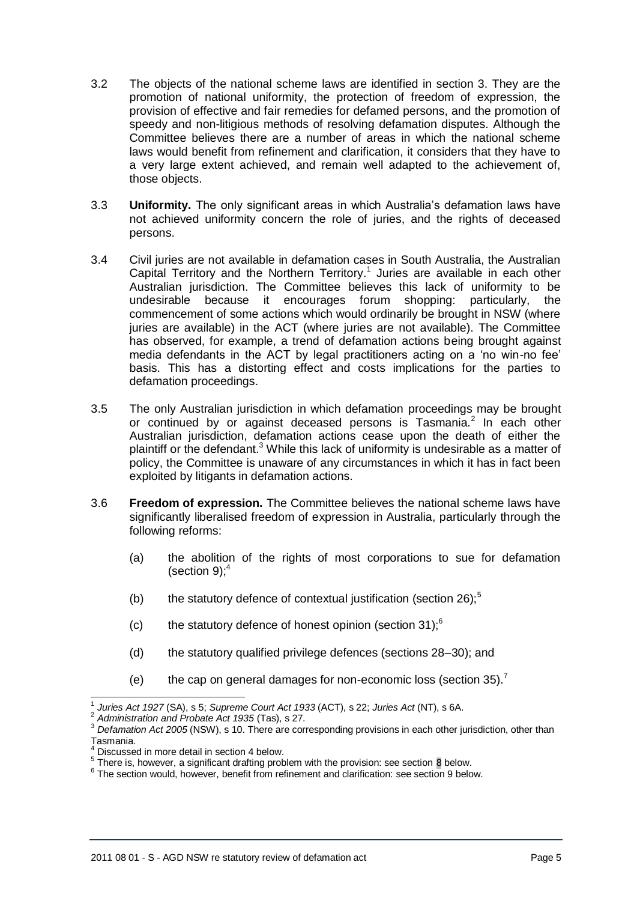- 3.2 The objects of the national scheme laws are identified in section 3. They are the promotion of national uniformity, the protection of freedom of expression, the provision of effective and fair remedies for defamed persons, and the promotion of speedy and non-litigious methods of resolving defamation disputes. Although the Committee believes there are a number of areas in which the national scheme laws would benefit from refinement and clarification, it considers that they have to a very large extent achieved, and remain well adapted to the achievement of, those objects.
- 3.3 **Uniformity.** The only significant areas in which Australia's defamation laws have not achieved uniformity concern the role of juries, and the rights of deceased persons.
- 3.4 Civil juries are not available in defamation cases in South Australia, the Australian Capital Territory and the Northern Territory.<sup>1</sup> Juries are available in each other Australian jurisdiction. The Committee believes this lack of uniformity to be undesirable because it encourages forum shopping: particularly, the commencement of some actions which would ordinarily be brought in NSW (where juries are available) in the ACT (where juries are not available). The Committee has observed, for example, a trend of defamation actions being brought against media defendants in the ACT by legal practitioners acting on a 'no win-no fee' basis. This has a distorting effect and costs implications for the parties to defamation proceedings.
- 3.5 The only Australian jurisdiction in which defamation proceedings may be brought or continued by or against deceased persons is Tasmania.<sup>2</sup> In each other Australian jurisdiction, defamation actions cease upon the death of either the plaintiff or the defendant.<sup>3</sup> While this lack of uniformity is undesirable as a matter of policy, the Committee is unaware of any circumstances in which it has in fact been exploited by litigants in defamation actions.
- <span id="page-4-0"></span>3.6 **Freedom of expression.** The Committee believes the national scheme laws have significantly liberalised freedom of expression in Australia, particularly through the following reforms:
	- (a) the abolition of the rights of most corporations to sue for defamation (section  $9$ ): $4$
	- (b) the statutory defence of contextual justification (section 26);<sup>5</sup>
	- (c) the statutory defence of honest opinion (section 31); $^6$
	- (d) the statutory qualified privilege defences (sections 28–30); and
	- (e) the cap on general damages for non-economic loss (section  $35$ ).<sup>7</sup>

<sup>2</sup> *Administration and Probate Act 1935* (Tas), s 27.

j 1 *Juries Act 1927* (SA), s 5; *Supreme Court Act 1933* (ACT), s 22; *Juries Act* (NT), s 6A.

<sup>&</sup>lt;sup>3</sup> Defamation Act 2005 (NSW), s 10. There are corresponding provisions in each other jurisdiction, other than Tasmania.

<sup>4</sup> Discussed in more detail in section [4](#page-5-0) below.

 $5$  There is, however, a significant drafting problem with the provision: see section  $8$  below.

 $6$  The section would, however, benefit from refinement and clarification: see section [9](#page-17-0) below.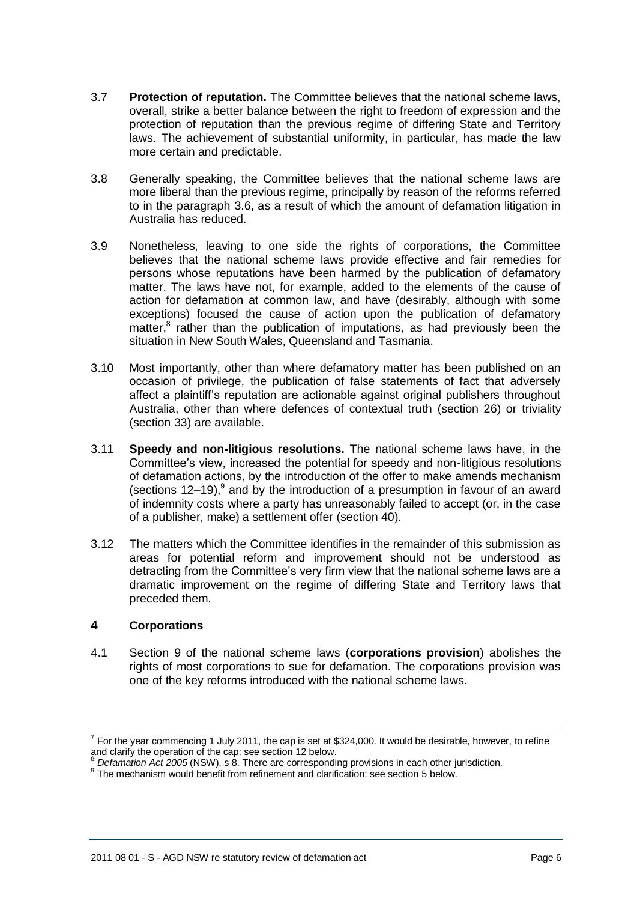- 3.7 **Protection of reputation.** The Committee believes that the national scheme laws, overall, strike a better balance between the right to freedom of expression and the protection of reputation than the previous regime of differing State and Territory laws. The achievement of substantial uniformity, in particular, has made the law more certain and predictable.
- 3.8 Generally speaking, the Committee believes that the national scheme laws are more liberal than the previous regime, principally by reason of the reforms referred to in the paragraph [3.6,](#page-4-0) as a result of which the amount of defamation litigation in Australia has reduced.
- 3.9 Nonetheless, leaving to one side the rights of corporations, the Committee believes that the national scheme laws provide effective and fair remedies for persons whose reputations have been harmed by the publication of defamatory matter. The laws have not, for example, added to the elements of the cause of action for defamation at common law, and have (desirably, although with some exceptions) focused the cause of action upon the publication of defamatory matter, $<sup>8</sup>$  rather than the publication of imputations, as had previously been the</sup> situation in New South Wales, Queensland and Tasmania.
- 3.10 Most importantly, other than where defamatory matter has been published on an occasion of privilege, the publication of false statements of fact that adversely affect a plaintiff's reputation are actionable against original publishers throughout Australia, other than where defences of contextual truth (section 26) or triviality (section 33) are available.
- 3.11 **Speedy and non-litigious resolutions.** The national scheme laws have, in the Committee's view, increased the potential for speedy and non-litigious resolutions of defamation actions, by the introduction of the offer to make amends mechanism (sections 12–19), $9^9$  and by the introduction of a presumption in favour of an award of indemnity costs where a party has unreasonably failed to accept (or, in the case of a publisher, make) a settlement offer (section 40).
- 3.12 The matters which the Committee identifies in the remainder of this submission as areas for potential reform and improvement should not be understood as detracting from the Committee's very firm view that the national scheme laws are a dramatic improvement on the regime of differing State and Territory laws that preceded them.

# <span id="page-5-0"></span>**4 Corporations**

 $\overline{a}$ 

4.1 Section 9 of the national scheme laws (**corporations provision**) abolishes the rights of most corporations to sue for defamation. The corporations provision was one of the key reforms introduced with the national scheme laws.

 $^7$  For the year commencing 1 July 2011, the cap is set at \$324,000. It would be desirable, however, to refine and clarify the operation of the cap: see section [12](#page-22-0) below.

<sup>8</sup> *Defamation Act 2005* (NSW), s 8. There are corresponding provisions in each other jurisdiction.

<sup>&</sup>lt;sup>9</sup> The mechanism would benefit from refinement and clarification: see section [5](#page-8-0) below.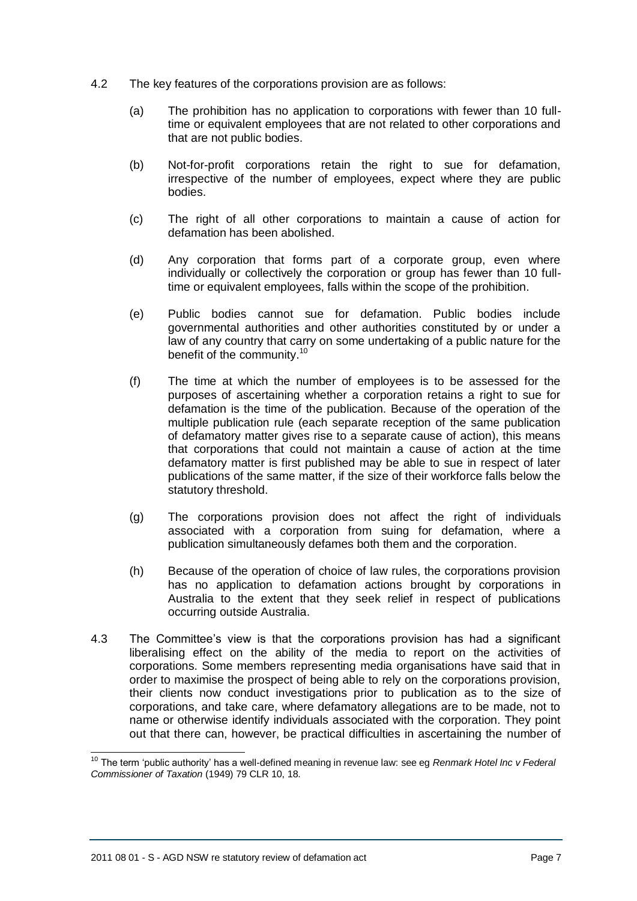- 4.2 The key features of the corporations provision are as follows:
	- (a) The prohibition has no application to corporations with fewer than 10 fulltime or equivalent employees that are not related to other corporations and that are not public bodies.
	- (b) Not-for-profit corporations retain the right to sue for defamation, irrespective of the number of employees, expect where they are public bodies.
	- (c) The right of all other corporations to maintain a cause of action for defamation has been abolished.
	- (d) Any corporation that forms part of a corporate group, even where individually or collectively the corporation or group has fewer than 10 fulltime or equivalent employees, falls within the scope of the prohibition.
	- (e) Public bodies cannot sue for defamation. Public bodies include governmental authorities and other authorities constituted by or under a law of any country that carry on some undertaking of a public nature for the benefit of the community.<sup>10</sup>
	- (f) The time at which the number of employees is to be assessed for the purposes of ascertaining whether a corporation retains a right to sue for defamation is the time of the publication. Because of the operation of the multiple publication rule (each separate reception of the same publication of defamatory matter gives rise to a separate cause of action), this means that corporations that could not maintain a cause of action at the time defamatory matter is first published may be able to sue in respect of later publications of the same matter, if the size of their workforce falls below the statutory threshold.
	- (g) The corporations provision does not affect the right of individuals associated with a corporation from suing for defamation, where a publication simultaneously defames both them and the corporation.
	- (h) Because of the operation of choice of law rules, the corporations provision has no application to defamation actions brought by corporations in Australia to the extent that they seek relief in respect of publications occurring outside Australia.
- 4.3 The Committee's view is that the corporations provision has had a significant liberalising effect on the ability of the media to report on the activities of corporations. Some members representing media organisations have said that in order to maximise the prospect of being able to rely on the corporations provision, their clients now conduct investigations prior to publication as to the size of corporations, and take care, where defamatory allegations are to be made, not to name or otherwise identify individuals associated with the corporation. They point out that there can, however, be practical difficulties in ascertaining the number of

 $\overline{a}$ 

<sup>10</sup> The term 'public authority' has a well-defined meaning in revenue law: see eg *Renmark Hotel Inc v Federal Commissioner of Taxation* (1949) 79 CLR 10, 18.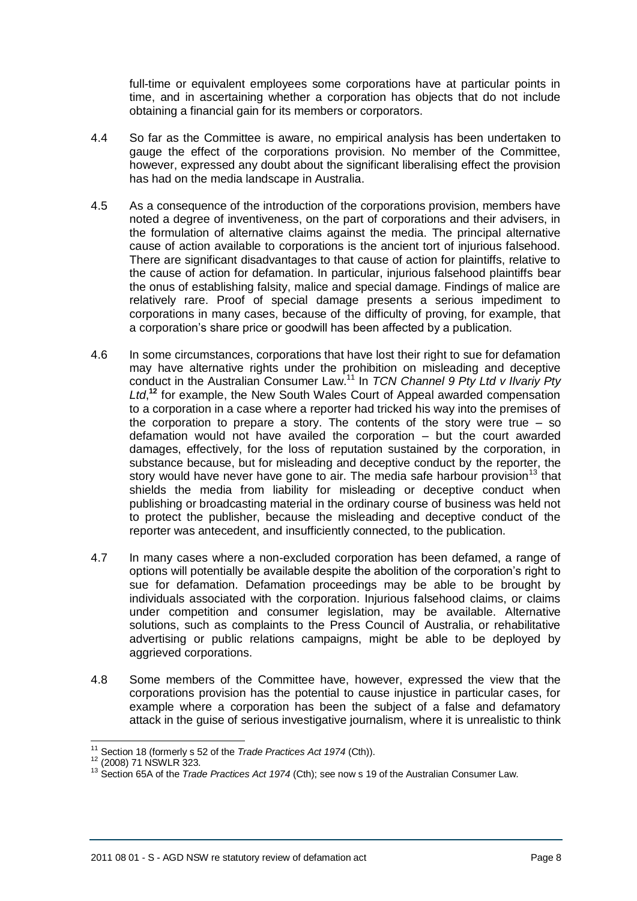full-time or equivalent employees some corporations have at particular points in time, and in ascertaining whether a corporation has objects that do not include obtaining a financial gain for its members or corporators.

- 4.4 So far as the Committee is aware, no empirical analysis has been undertaken to gauge the effect of the corporations provision. No member of the Committee, however, expressed any doubt about the significant liberalising effect the provision has had on the media landscape in Australia.
- 4.5 As a consequence of the introduction of the corporations provision, members have noted a degree of inventiveness, on the part of corporations and their advisers, in the formulation of alternative claims against the media. The principal alternative cause of action available to corporations is the ancient tort of injurious falsehood. There are significant disadvantages to that cause of action for plaintiffs, relative to the cause of action for defamation. In particular, injurious falsehood plaintiffs bear the onus of establishing falsity, malice and special damage. Findings of malice are relatively rare. Proof of special damage presents a serious impediment to corporations in many cases, because of the difficulty of proving, for example, that a corporation's share price or goodwill has been affected by a publication.
- 4.6 In some circumstances, corporations that have lost their right to sue for defamation may have alternative rights under the prohibition on misleading and deceptive conduct in the Australian Consumer Law.<sup>11</sup> In *TCN Channel 9 Pty Ltd v Ilvariy Pty*  Ltd,<sup>12</sup> for example, the New South Wales Court of Appeal awarded compensation to a corporation in a case where a reporter had tricked his way into the premises of the corporation to prepare a story. The contents of the story were true  $-$  so defamation would not have availed the corporation – but the court awarded damages, effectively, for the loss of reputation sustained by the corporation, in substance because, but for misleading and deceptive conduct by the reporter, the story would have never have gone to air. The media safe harbour provision<sup>13</sup> that shields the media from liability for misleading or deceptive conduct when publishing or broadcasting material in the ordinary course of business was held not to protect the publisher, because the misleading and deceptive conduct of the reporter was antecedent, and insufficiently connected, to the publication.
- 4.7 In many cases where a non-excluded corporation has been defamed, a range of options will potentially be available despite the abolition of the corporation's right to sue for defamation. Defamation proceedings may be able to be brought by individuals associated with the corporation. Injurious falsehood claims, or claims under competition and consumer legislation, may be available. Alternative solutions, such as complaints to the Press Council of Australia, or rehabilitative advertising or public relations campaigns, might be able to be deployed by aggrieved corporations.
- 4.8 Some members of the Committee have, however, expressed the view that the corporations provision has the potential to cause injustice in particular cases, for example where a corporation has been the subject of a false and defamatory attack in the guise of serious investigative journalism, where it is unrealistic to think

 <sup>11</sup> Section 18 (formerly s 52 of the *Trade Practices Act 1974* (Cth)).

<sup>12</sup> (2008) 71 NSWLR 323.

<sup>13</sup> Section 65A of the *Trade Practices Act 1974* (Cth); see now s 19 of the Australian Consumer Law.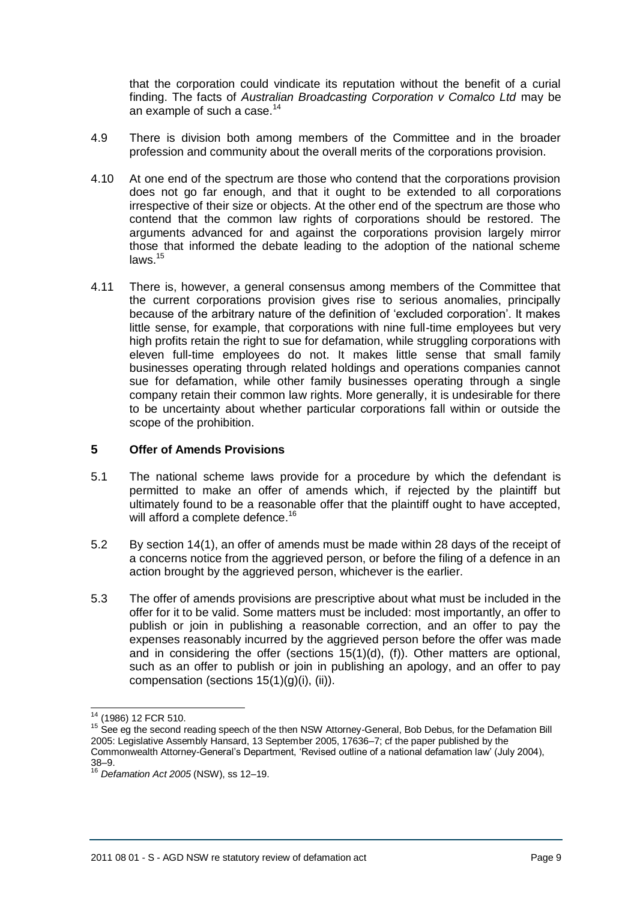that the corporation could vindicate its reputation without the benefit of a curial finding. The facts of *Australian Broadcasting Corporation v Comalco Ltd* may be an example of such a case.<sup>14</sup>

- 4.9 There is division both among members of the Committee and in the broader profession and community about the overall merits of the corporations provision.
- 4.10 At one end of the spectrum are those who contend that the corporations provision does not go far enough, and that it ought to be extended to all corporations irrespective of their size or objects. At the other end of the spectrum are those who contend that the common law rights of corporations should be restored. The arguments advanced for and against the corporations provision largely mirror those that informed the debate leading to the adoption of the national scheme laws.<sup>15</sup>
- 4.11 There is, however, a general consensus among members of the Committee that the current corporations provision gives rise to serious anomalies, principally because of the arbitrary nature of the definition of 'excluded corporation'. It makes little sense, for example, that corporations with nine full-time employees but very high profits retain the right to sue for defamation, while struggling corporations with eleven full-time employees do not. It makes little sense that small family businesses operating through related holdings and operations companies cannot sue for defamation, while other family businesses operating through a single company retain their common law rights. More generally, it is undesirable for there to be uncertainty about whether particular corporations fall within or outside the scope of the prohibition.

### <span id="page-8-0"></span>**5 Offer of Amends Provisions**

- 5.1 The national scheme laws provide for a procedure by which the defendant is permitted to make an offer of amends which, if rejected by the plaintiff but ultimately found to be a reasonable offer that the plaintiff ought to have accepted, will afford a complete defence.<sup>16</sup>
- 5.2 By section 14(1), an offer of amends must be made within 28 days of the receipt of a concerns notice from the aggrieved person, or before the filing of a defence in an action brought by the aggrieved person, whichever is the earlier.
- 5.3 The offer of amends provisions are prescriptive about what must be included in the offer for it to be valid. Some matters must be included: most importantly, an offer to publish or join in publishing a reasonable correction, and an offer to pay the expenses reasonably incurred by the aggrieved person before the offer was made and in considering the offer (sections 15(1)(d), (f)). Other matters are optional, such as an offer to publish or join in publishing an apology, and an offer to pay compensation (sections 15(1)(g)(i), (ii)).

 $\overline{\phantom{a}}$ <sup>14</sup> (1986) 12 FCR 510.

<sup>&</sup>lt;sup>15</sup> See eg the second reading speech of the then NSW Attorney-General, Bob Debus, for the Defamation Bill 2005: Legislative Assembly Hansard, 13 September 2005, 17636–7; cf the paper published by the Commonwealth Attorney-General's Department, 'Revised outline of a national defamation law' (July 2004), 38–9.

<sup>16</sup> *Defamation Act 2005* (NSW), ss 12–19.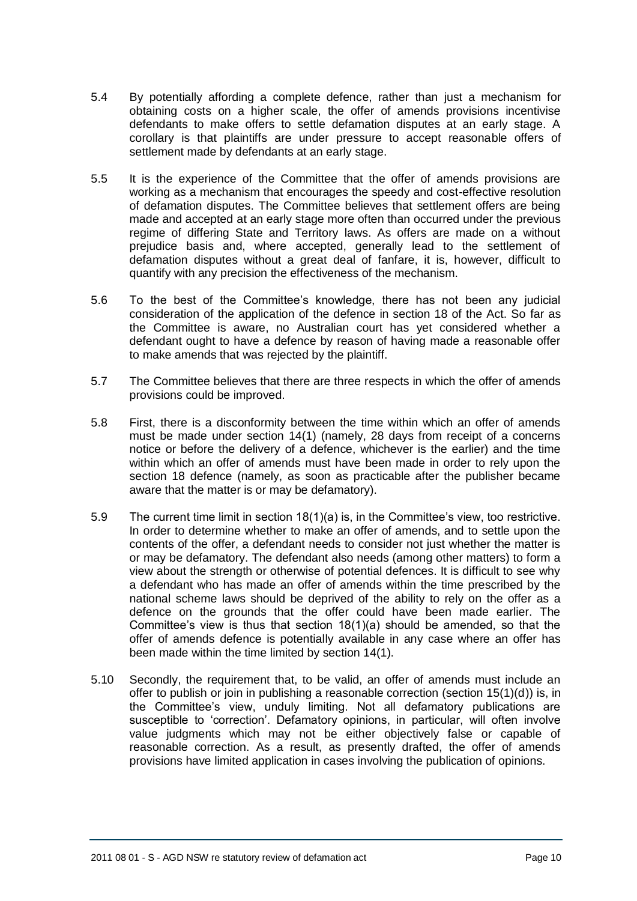- 5.4 By potentially affording a complete defence, rather than just a mechanism for obtaining costs on a higher scale, the offer of amends provisions incentivise defendants to make offers to settle defamation disputes at an early stage. A corollary is that plaintiffs are under pressure to accept reasonable offers of settlement made by defendants at an early stage.
- 5.5 It is the experience of the Committee that the offer of amends provisions are working as a mechanism that encourages the speedy and cost-effective resolution of defamation disputes. The Committee believes that settlement offers are being made and accepted at an early stage more often than occurred under the previous regime of differing State and Territory laws. As offers are made on a without prejudice basis and, where accepted, generally lead to the settlement of defamation disputes without a great deal of fanfare, it is, however, difficult to quantify with any precision the effectiveness of the mechanism.
- 5.6 To the best of the Committee's knowledge, there has not been any judicial consideration of the application of the defence in section 18 of the Act. So far as the Committee is aware, no Australian court has yet considered whether a defendant ought to have a defence by reason of having made a reasonable offer to make amends that was rejected by the plaintiff.
- 5.7 The Committee believes that there are three respects in which the offer of amends provisions could be improved.
- 5.8 First, there is a disconformity between the time within which an offer of amends must be made under section 14(1) (namely, 28 days from receipt of a concerns notice or before the delivery of a defence, whichever is the earlier) and the time within which an offer of amends must have been made in order to rely upon the section 18 defence (namely, as soon as practicable after the publisher became aware that the matter is or may be defamatory).
- 5.9 The current time limit in section 18(1)(a) is, in the Committee's view, too restrictive. In order to determine whether to make an offer of amends, and to settle upon the contents of the offer, a defendant needs to consider not just whether the matter is or may be defamatory. The defendant also needs (among other matters) to form a view about the strength or otherwise of potential defences. It is difficult to see why a defendant who has made an offer of amends within the time prescribed by the national scheme laws should be deprived of the ability to rely on the offer as a defence on the grounds that the offer could have been made earlier. The Committee's view is thus that section 18(1)(a) should be amended, so that the offer of amends defence is potentially available in any case where an offer has been made within the time limited by section 14(1).
- 5.10 Secondly, the requirement that, to be valid, an offer of amends must include an offer to publish or join in publishing a reasonable correction (section 15(1)(d)) is, in the Committee's view, unduly limiting. Not all defamatory publications are susceptible to 'correction'. Defamatory opinions, in particular, will often involve value judgments which may not be either objectively false or capable of reasonable correction. As a result, as presently drafted, the offer of amends provisions have limited application in cases involving the publication of opinions.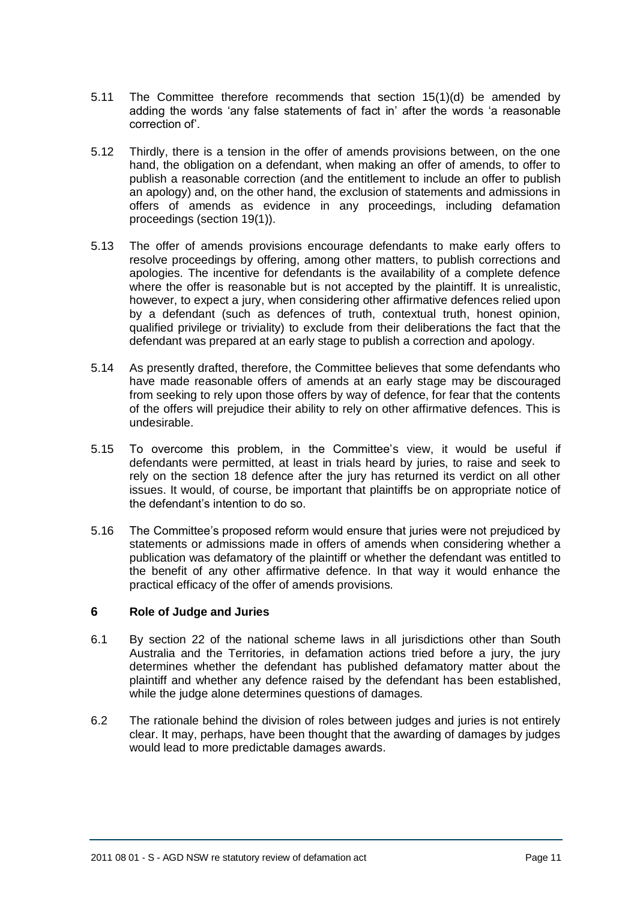- 5.11 The Committee therefore recommends that section 15(1)(d) be amended by adding the words 'any false statements of fact in' after the words 'a reasonable correction of'.
- 5.12 Thirdly, there is a tension in the offer of amends provisions between, on the one hand, the obligation on a defendant, when making an offer of amends, to offer to publish a reasonable correction (and the entitlement to include an offer to publish an apology) and, on the other hand, the exclusion of statements and admissions in offers of amends as evidence in any proceedings, including defamation proceedings (section 19(1)).
- 5.13 The offer of amends provisions encourage defendants to make early offers to resolve proceedings by offering, among other matters, to publish corrections and apologies. The incentive for defendants is the availability of a complete defence where the offer is reasonable but is not accepted by the plaintiff. It is unrealistic, however, to expect a jury, when considering other affirmative defences relied upon by a defendant (such as defences of truth, contextual truth, honest opinion, qualified privilege or triviality) to exclude from their deliberations the fact that the defendant was prepared at an early stage to publish a correction and apology.
- 5.14 As presently drafted, therefore, the Committee believes that some defendants who have made reasonable offers of amends at an early stage may be discouraged from seeking to rely upon those offers by way of defence, for fear that the contents of the offers will prejudice their ability to rely on other affirmative defences. This is undesirable.
- 5.15 To overcome this problem, in the Committee's view, it would be useful if defendants were permitted, at least in trials heard by juries, to raise and seek to rely on the section 18 defence after the jury has returned its verdict on all other issues. It would, of course, be important that plaintiffs be on appropriate notice of the defendant's intention to do so.
- 5.16 The Committee's proposed reform would ensure that juries were not prejudiced by statements or admissions made in offers of amends when considering whether a publication was defamatory of the plaintiff or whether the defendant was entitled to the benefit of any other affirmative defence. In that way it would enhance the practical efficacy of the offer of amends provisions.

### **6 Role of Judge and Juries**

- 6.1 By section 22 of the national scheme laws in all jurisdictions other than South Australia and the Territories, in defamation actions tried before a jury, the jury determines whether the defendant has published defamatory matter about the plaintiff and whether any defence raised by the defendant has been established, while the judge alone determines questions of damages.
- 6.2 The rationale behind the division of roles between judges and juries is not entirely clear. It may, perhaps, have been thought that the awarding of damages by judges would lead to more predictable damages awards.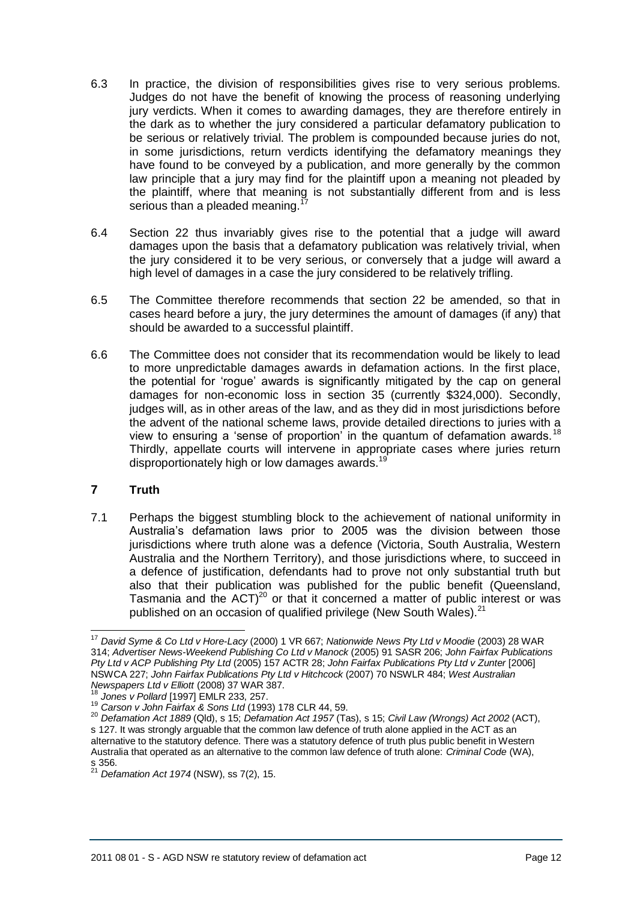- 6.3 In practice, the division of responsibilities gives rise to very serious problems. Judges do not have the benefit of knowing the process of reasoning underlying jury verdicts. When it comes to awarding damages, they are therefore entirely in the dark as to whether the jury considered a particular defamatory publication to be serious or relatively trivial. The problem is compounded because juries do not, in some jurisdictions, return verdicts identifying the defamatory meanings they have found to be conveyed by a publication, and more generally by the common law principle that a jury may find for the plaintiff upon a meaning not pleaded by the plaintiff, where that meaning is not substantially different from and is less serious than a pleaded meaning.<sup>1</sup>
- <span id="page-11-0"></span>6.4 Section 22 thus invariably gives rise to the potential that a judge will award damages upon the basis that a defamatory publication was relatively trivial, when the jury considered it to be very serious, or conversely that a judge will award a high level of damages in a case the jury considered to be relatively trifling.
- 6.5 The Committee therefore recommends that section 22 be amended, so that in cases heard before a jury, the jury determines the amount of damages (if any) that should be awarded to a successful plaintiff.
- 6.6 The Committee does not consider that its recommendation would be likely to lead to more unpredictable damages awards in defamation actions. In the first place, the potential for 'rogue' awards is significantly mitigated by the cap on general damages for non-economic loss in section 35 (currently \$324,000). Secondly, judges will, as in other areas of the law, and as they did in most jurisdictions before the advent of the national scheme laws, provide detailed directions to juries with a view to ensuring a 'sense of proportion' in the quantum of defamation awards.<sup>18</sup> Thirdly, appellate courts will intervene in appropriate cases where juries return disproportionately high or low damages awards.<sup>19</sup>

### **7 Truth**

7.1 Perhaps the biggest stumbling block to the achievement of national uniformity in Australia's defamation laws prior to 2005 was the division between those jurisdictions where truth alone was a defence (Victoria, South Australia, Western Australia and the Northern Territory), and those jurisdictions where, to succeed in a defence of justification, defendants had to prove not only substantial truth but also that their publication was published for the public benefit (Queensland, Tasmania and the  $ACT$ <sup>20</sup> or that it concerned a matter of public interest or was published on an occasion of qualified privilege (New South Wales).<sup>21</sup>

 <sup>17</sup> *David Syme & Co Ltd v Hore-Lacy* (2000) 1 VR 667; *Nationwide News Pty Ltd v Moodie* (2003) 28 WAR 314; *Advertiser News-Weekend Publishing Co Ltd v Manock* (2005) 91 SASR 206; *John Fairfax Publications Pty Ltd v ACP Publishing Pty Ltd* (2005) 157 ACTR 28; *John Fairfax Publications Pty Ltd v Zunter* [2006] NSWCA 227; *John Fairfax Publications Pty Ltd v Hitchcock* (2007) 70 NSWLR 484; *West Australian Newspapers Ltd v Elliott* (2008) 37 WAR 387.

<sup>18</sup> *Jones v Pollard* [1997] EMLR 233, 257.

<sup>19</sup> *Carson v John Fairfax & Sons Ltd* (1993) 178 CLR 44, 59.

<sup>20</sup> *Defamation Act 1889* (Qld), s 15; *Defamation Act 1957* (Tas), s 15; *Civil Law (Wrongs) Act 2002* (ACT), s 127. It was strongly arguable that the common law defence of truth alone applied in the ACT as an alternative to the statutory defence. There was a statutory defence of truth plus public benefit in Western Australia that operated as an alternative to the common law defence of truth alone: *Criminal Code* (WA), s 356.

<sup>21</sup> *Defamation Act 1974* (NSW), ss 7(2), 15.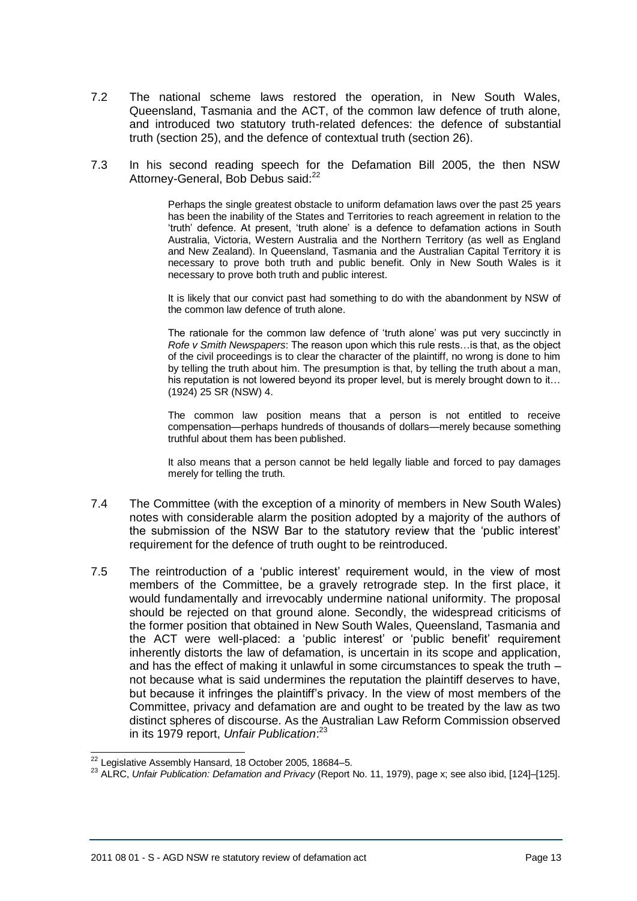- 7.2 The national scheme laws restored the operation, in New South Wales, Queensland, Tasmania and the ACT, of the common law defence of truth alone, and introduced two statutory truth-related defences: the defence of substantial truth (section 25), and the defence of contextual truth (section 26).
- 7.3 In his second reading speech for the Defamation Bill 2005, the then NSW Attorney-General, Bob Debus said:<sup>22</sup>

Perhaps the single greatest obstacle to uniform defamation laws over the past 25 years has been the inability of the States and Territories to reach agreement in relation to the 'truth' defence. At present, 'truth alone' is a defence to defamation actions in South Australia, Victoria, Western Australia and the Northern Territory (as well as England and New Zealand). In Queensland, Tasmania and the Australian Capital Territory it is necessary to prove both truth and public benefit. Only in New South Wales is it necessary to prove both truth and public interest.

It is likely that our convict past had something to do with the abandonment by NSW of the common law defence of truth alone.

The rationale for the common law defence of 'truth alone' was put very succinctly in *Rofe v Smith Newspapers*: The reason upon which this rule rests…is that, as the object of the civil proceedings is to clear the character of the plaintiff, no wrong is done to him by telling the truth about him. The presumption is that, by telling the truth about a man, his reputation is not lowered beyond its proper level, but is merely brought down to it… (1924) 25 SR (NSW) 4.

The common law position means that a person is not entitled to receive compensation—perhaps hundreds of thousands of dollars—merely because something truthful about them has been published.

It also means that a person cannot be held legally liable and forced to pay damages merely for telling the truth.

- 7.4 The Committee (with the exception of a minority of members in New South Wales) notes with considerable alarm the position adopted by a majority of the authors of the submission of the NSW Bar to the statutory review that the 'public interest' requirement for the defence of truth ought to be reintroduced.
- 7.5 The reintroduction of a 'public interest' requirement would, in the view of most members of the Committee, be a gravely retrograde step. In the first place, it would fundamentally and irrevocably undermine national uniformity. The proposal should be rejected on that ground alone. Secondly, the widespread criticisms of the former position that obtained in New South Wales, Queensland, Tasmania and the ACT were well-placed: a 'public interest' or 'public benefit' requirement inherently distorts the law of defamation, is uncertain in its scope and application, and has the effect of making it unlawful in some circumstances to speak the truth – not because what is said undermines the reputation the plaintiff deserves to have, but because it infringes the plaintiff's privacy. In the view of most members of the Committee, privacy and defamation are and ought to be treated by the law as two distinct spheres of discourse. As the Australian Law Reform Commission observed in its 1979 report, *Unfair Publication*: 23

 $\overline{\phantom{a}}$  $22$  Legislative Assembly Hansard, 18 October 2005, 18684–5.

<sup>23</sup> ALRC, *Unfair Publication: Defamation and Privacy* (Report No. 11, 1979), page x; see also ibid, [124]–[125].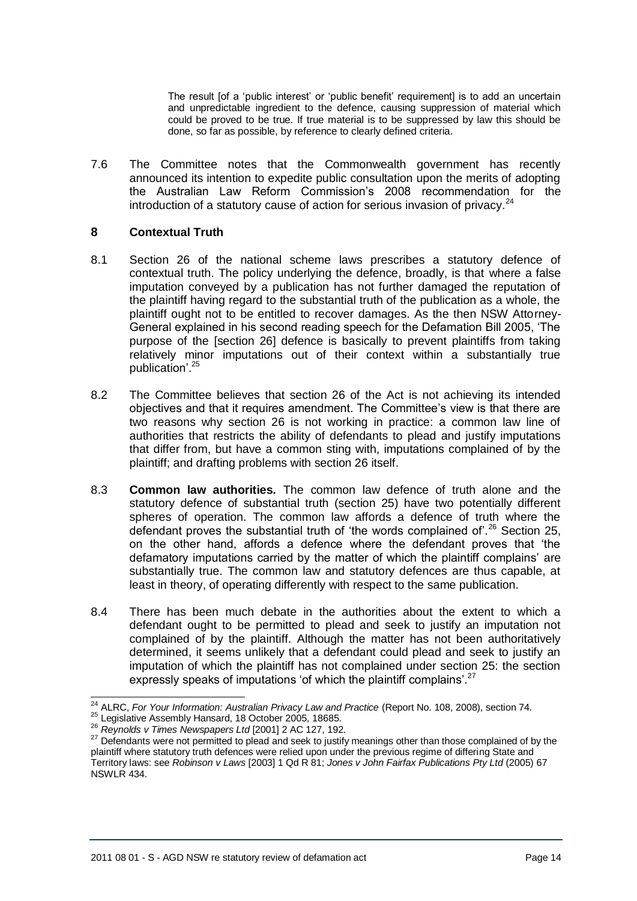The result [of a 'public interest' or 'public benefit' requirement] is to add an uncertain and unpredictable ingredient to the defence, causing suppression of material which could be proved to be true. If true material is to be suppressed by law this should be done, so far as possible, by reference to clearly defined criteria.

7.6 The Committee notes that the Commonwealth government has recently announced its intention to expedite public consultation upon the merits of adopting the Australian Law Reform Commission's 2008 recommendation for the introduction of a statutory cause of action for serious invasion of privacy. $^{24}$ 

### <span id="page-13-0"></span>**8 Contextual Truth**

- 8.1 Section 26 of the national scheme laws prescribes a statutory defence of contextual truth. The policy underlying the defence, broadly, is that where a false imputation conveyed by a publication has not further damaged the reputation of the plaintiff having regard to the substantial truth of the publication as a whole, the plaintiff ought not to be entitled to recover damages. As the then NSW Attorney-General explained in his second reading speech for the Defamation Bill 2005, 'The purpose of the [section 26] defence is basically to prevent plaintiffs from taking relatively minor imputations out of their context within a substantially true publication'.<sup>25</sup>
- 8.2 The Committee believes that section 26 of the Act is not achieving its intended objectives and that it requires amendment. The Committee's view is that there are two reasons why section 26 is not working in practice: a common law line of authorities that restricts the ability of defendants to plead and justify imputations that differ from, but have a common sting with, imputations complained of by the plaintiff; and drafting problems with section 26 itself.
- 8.3 **Common law authorities.** The common law defence of truth alone and the statutory defence of substantial truth (section 25) have two potentially different spheres of operation. The common law affords a defence of truth where the defendant proves the substantial truth of 'the words complained of'.<sup>26</sup> Section 25, on the other hand, affords a defence where the defendant proves that 'the defamatory imputations carried by the matter of which the plaintiff complains' are substantially true. The common law and statutory defences are thus capable, at least in theory, of operating differently with respect to the same publication.
- 8.4 There has been much debate in the authorities about the extent to which a defendant ought to be permitted to plead and seek to justify an imputation not complained of by the plaintiff. Although the matter has not been authoritatively determined, it seems unlikely that a defendant could plead and seek to justify an imputation of which the plaintiff has not complained under section 25: the section expressly speaks of imputations 'of which the plaintiff complains'.<sup>27</sup>

j <sup>24</sup> ALRC, *For Your Information: Australian Privacy Law and Practice* (Report No. 108, 2008), section 74.

<sup>25</sup> Legislative Assembly Hansard, 18 October 2005, 18685.

<sup>26</sup> *Reynolds v Times Newspapers Ltd* [2001] 2 AC 127, 192.

<sup>&</sup>lt;sup>27</sup> Defendants were not permitted to plead and seek to justify meanings other than those complained of by the plaintiff where statutory truth defences were relied upon under the previous regime of differing State and Territory laws: see *Robinson v Laws* [2003] 1 Qd R 81; *Jones v John Fairfax Publications Pty Ltd* (2005) 67 NSWLR 434.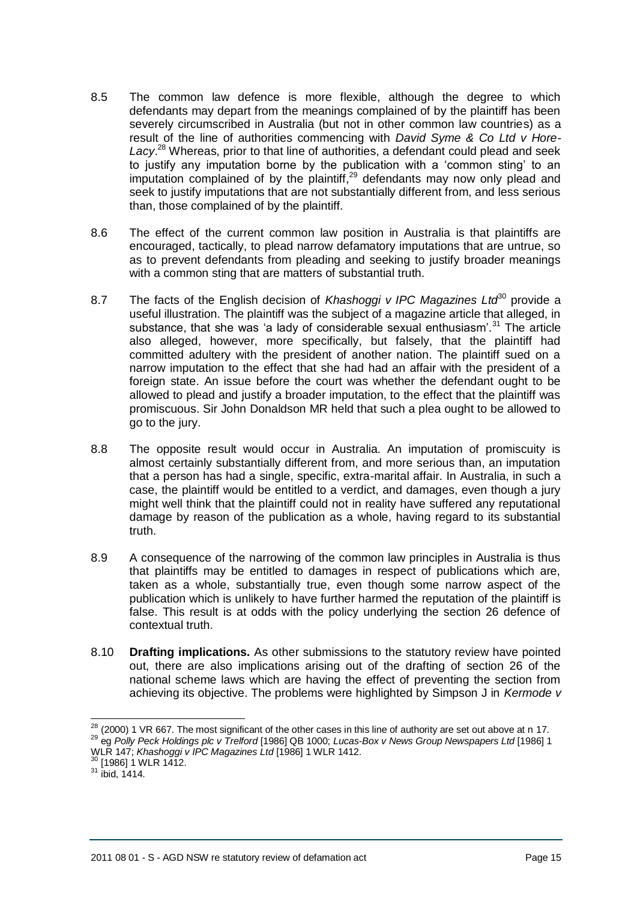- 8.5 The common law defence is more flexible, although the degree to which defendants may depart from the meanings complained of by the plaintiff has been severely circumscribed in Australia (but not in other common law countries) as a result of the line of authorities commencing with *David Syme & Co Ltd v Hore-Lacy*. <sup>28</sup> Whereas, prior to that line of authorities, a defendant could plead and seek to justify any imputation borne by the publication with a 'common sting' to an imputation complained of by the plaintiff, $29$  defendants may now only plead and seek to justify imputations that are not substantially different from, and less serious than, those complained of by the plaintiff.
- 8.6 The effect of the current common law position in Australia is that plaintiffs are encouraged, tactically, to plead narrow defamatory imputations that are untrue, so as to prevent defendants from pleading and seeking to justify broader meanings with a common sting that are matters of substantial truth.
- 8.7 The facts of the English decision of *Khashoggi v IPC Magazines Ltd*<sup>80</sup> provide a useful illustration. The plaintiff was the subject of a magazine article that alleged, in substance, that she was 'a lady of considerable sexual enthusiasm'.<sup>31</sup> The article also alleged, however, more specifically, but falsely, that the plaintiff had committed adultery with the president of another nation. The plaintiff sued on a narrow imputation to the effect that she had had an affair with the president of a foreign state. An issue before the court was whether the defendant ought to be allowed to plead and justify a broader imputation, to the effect that the plaintiff was promiscuous. Sir John Donaldson MR held that such a plea ought to be allowed to go to the jury.
- 8.8 The opposite result would occur in Australia. An imputation of promiscuity is almost certainly substantially different from, and more serious than, an imputation that a person has had a single, specific, extra-marital affair. In Australia, in such a case, the plaintiff would be entitled to a verdict, and damages, even though a jury might well think that the plaintiff could not in reality have suffered any reputational damage by reason of the publication as a whole, having regard to its substantial truth.
- 8.9 A consequence of the narrowing of the common law principles in Australia is thus that plaintiffs may be entitled to damages in respect of publications which are, taken as a whole, substantially true, even though some narrow aspect of the publication which is unlikely to have further harmed the reputation of the plaintiff is false. This result is at odds with the policy underlying the section 26 defence of contextual truth.
- 8.10 **Drafting implications.** As other submissions to the statutory review have pointed out, there are also implications arising out of the drafting of section 26 of the national scheme laws which are having the effect of preventing the section from achieving its objective. The problems were highlighted by Simpson J in *Kermode v*

 $^{28}$  (2000) 1 VR 667. The most significant of the other cases in this line of authority are set out above at n [17.](#page-11-0) <sup>29</sup> eg *Polly Peck Holdings plc v Trelford* [1986] QB 1000; *Lucas-Box v News Group Newspapers Ltd* [1986] 1

WLR 147; *Khashoggi v IPC Magazines Ltd* [1986] 1 WLR 1412.

 $30$  [1986] 1 WLR 1412.

 $31$  ibid, 1414.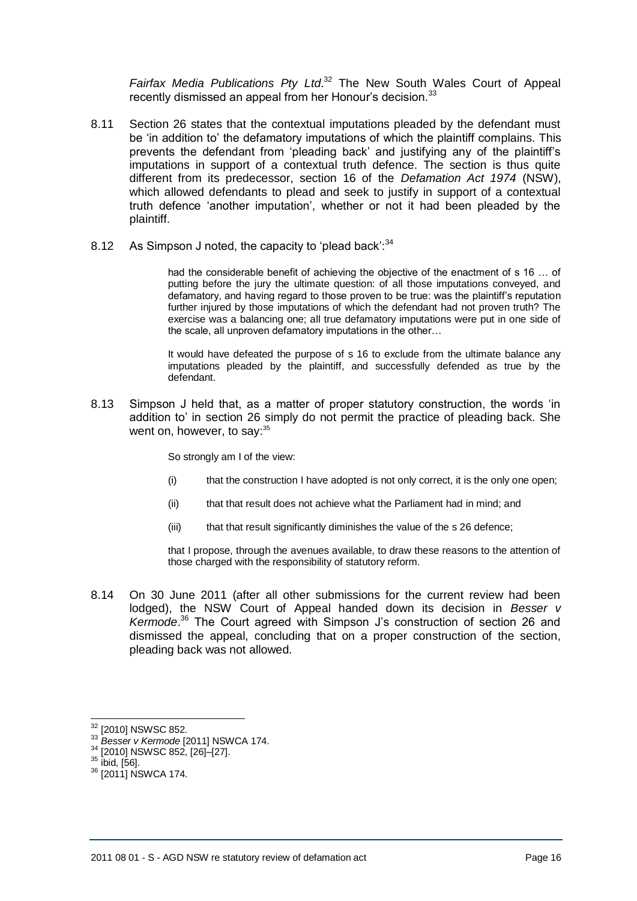*Fairfax Media Publications Pty Ltd*. <sup>32</sup> The New South Wales Court of Appeal recently dismissed an appeal from her Honour's decision.<sup>33</sup>

- 8.11 Section 26 states that the contextual imputations pleaded by the defendant must be 'in addition to' the defamatory imputations of which the plaintiff complains. This prevents the defendant from 'pleading back' and justifying any of the plaintiff's imputations in support of a contextual truth defence. The section is thus quite different from its predecessor, section 16 of the *Defamation Act 1974* (NSW), which allowed defendants to plead and seek to justify in support of a contextual truth defence 'another imputation', whether or not it had been pleaded by the plaintiff.
- 8.12 As Simpson J noted, the capacity to 'plead back': $34$

had the considerable benefit of achieving the objective of the enactment of s 16 … of putting before the jury the ultimate question: of all those imputations conveyed, and defamatory, and having regard to those proven to be true: was the plaintiff's reputation further injured by those imputations of which the defendant had not proven truth? The exercise was a balancing one; all true defamatory imputations were put in one side of the scale, all unproven defamatory imputations in the other…

It would have defeated the purpose of s 16 to exclude from the ultimate balance any imputations pleaded by the plaintiff, and successfully defended as true by the defendant.

8.13 Simpson J held that, as a matter of proper statutory construction, the words 'in addition to' in section 26 simply do not permit the practice of pleading back. She went on, however, to say:<sup>35</sup>

So strongly am I of the view:

- (i) that the construction I have adopted is not only correct, it is the only one open;
- (ii) that that result does not achieve what the Parliament had in mind; and
- (iii) that that result significantly diminishes the value of the s 26 defence;

that I propose, through the avenues available, to draw these reasons to the attention of those charged with the responsibility of statutory reform.

8.14 On 30 June 2011 (after all other submissions for the current review had been lodged), the NSW Court of Appeal handed down its decision in *Besser v Kermode*. <sup>36</sup> The Court agreed with Simpson J's construction of section 26 and dismissed the appeal, concluding that on a proper construction of the section, pleading back was not allowed.

<sup>33</sup> *Besser v Kermode* [2011] NSWCA 174.

 $32$  [2010] NSWSC 852.

<sup>[2010]</sup> NSWSC 852, [26]–[27].

 $35$  ibid, [56].

<sup>&</sup>lt;sup>36</sup> [2011] NSWCA 174.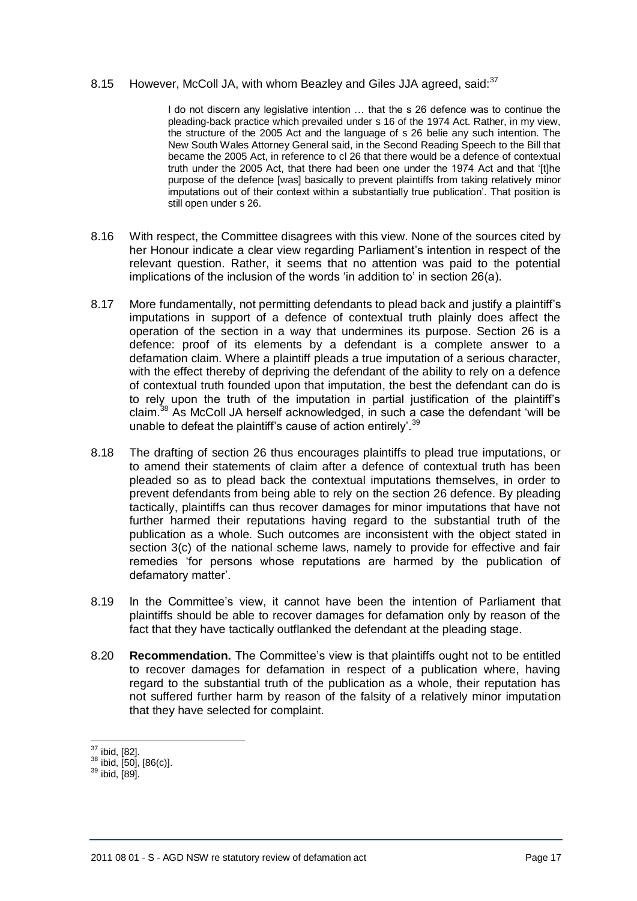#### 8.15 However, McColl JA, with whom Beazley and Giles JJA agreed, said:<sup>37</sup>

I do not discern any legislative intention … that the s 26 defence was to continue the pleading-back practice which prevailed under s 16 of the 1974 Act. Rather, in my view, the structure of the 2005 Act and the language of s 26 belie any such intention. The New South Wales Attorney General said, in the Second Reading Speech to the Bill that became the 2005 Act, in reference to cl 26 that there would be a defence of contextual truth under the 2005 Act, that there had been one under the 1974 Act and that '[t]he purpose of the defence [was] basically to prevent plaintiffs from taking relatively minor imputations out of their context within a substantially true publication'. That position is still open under s 26.

- 8.16 With respect, the Committee disagrees with this view. None of the sources cited by her Honour indicate a clear view regarding Parliament's intention in respect of the relevant question. Rather, it seems that no attention was paid to the potential implications of the inclusion of the words 'in addition to' in section 26(a).
- 8.17 More fundamentally, not permitting defendants to plead back and justify a plaintiff's imputations in support of a defence of contextual truth plainly does affect the operation of the section in a way that undermines its purpose. Section 26 is a defence: proof of its elements by a defendant is a complete answer to a defamation claim. Where a plaintiff pleads a true imputation of a serious character, with the effect thereby of depriving the defendant of the ability to rely on a defence of contextual truth founded upon that imputation, the best the defendant can do is to rely upon the truth of the imputation in partial justification of the plaintiff's claim.<sup>38</sup> As McColl JA herself acknowledged, in such a case the defendant 'will be unable to defeat the plaintiff's cause of action entirely'.<sup>39</sup>
- 8.18 The drafting of section 26 thus encourages plaintiffs to plead true imputations, or to amend their statements of claim after a defence of contextual truth has been pleaded so as to plead back the contextual imputations themselves, in order to prevent defendants from being able to rely on the section 26 defence. By pleading tactically, plaintiffs can thus recover damages for minor imputations that have not further harmed their reputations having regard to the substantial truth of the publication as a whole. Such outcomes are inconsistent with the object stated in section 3(c) of the national scheme laws, namely to provide for effective and fair remedies 'for persons whose reputations are harmed by the publication of defamatory matter'.
- 8.19 In the Committee's view, it cannot have been the intention of Parliament that plaintiffs should be able to recover damages for defamation only by reason of the fact that they have tactically outflanked the defendant at the pleading stage.
- 8.20 **Recommendation.** The Committee's view is that plaintiffs ought not to be entitled to recover damages for defamation in respect of a publication where, having regard to the substantial truth of the publication as a whole, their reputation has not suffered further harm by reason of the falsity of a relatively minor imputation that they have selected for complaint.

  $37$  ibid, [82].

 $38$  ibid, [50], [86(c)].

 $39$  ibid, [89].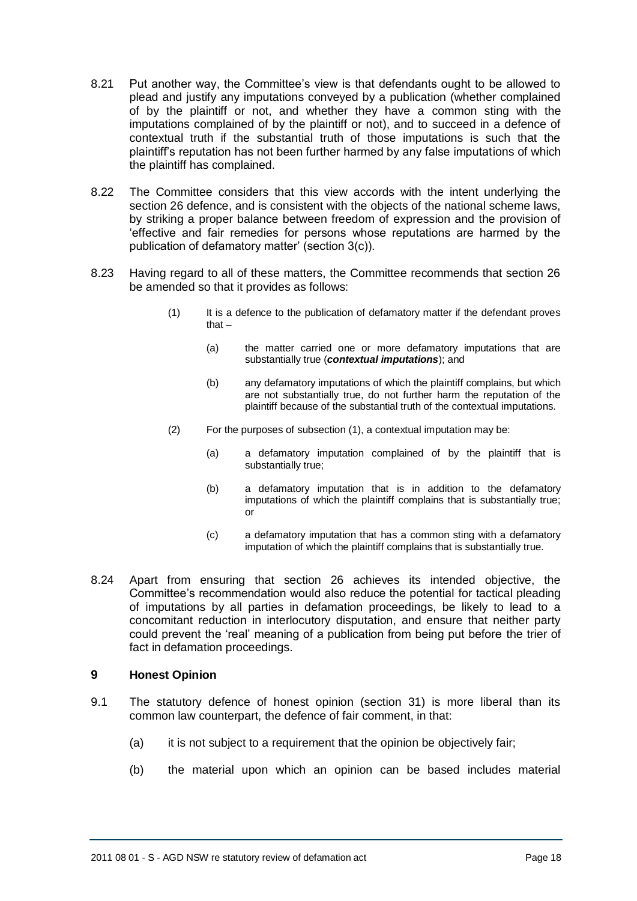- 8.21 Put another way, the Committee's view is that defendants ought to be allowed to plead and justify any imputations conveyed by a publication (whether complained of by the plaintiff or not, and whether they have a common sting with the imputations complained of by the plaintiff or not), and to succeed in a defence of contextual truth if the substantial truth of those imputations is such that the plaintiff's reputation has not been further harmed by any false imputations of which the plaintiff has complained.
- 8.22 The Committee considers that this view accords with the intent underlying the section 26 defence, and is consistent with the objects of the national scheme laws, by striking a proper balance between freedom of expression and the provision of 'effective and fair remedies for persons whose reputations are harmed by the publication of defamatory matter' (section 3(c)).
- 8.23 Having regard to all of these matters, the Committee recommends that section 26 be amended so that it provides as follows:
	- (1) It is a defence to the publication of defamatory matter if the defendant proves that –
		- (a) the matter carried one or more defamatory imputations that are substantially true (*contextual imputations*); and
		- (b) any defamatory imputations of which the plaintiff complains, but which are not substantially true, do not further harm the reputation of the plaintiff because of the substantial truth of the contextual imputations.
	- (2) For the purposes of subsection (1), a contextual imputation may be:
		- (a) a defamatory imputation complained of by the plaintiff that is substantially true;
		- (b) a defamatory imputation that is in addition to the defamatory imputations of which the plaintiff complains that is substantially true; or
		- (c) a defamatory imputation that has a common sting with a defamatory imputation of which the plaintiff complains that is substantially true.
- 8.24 Apart from ensuring that section 26 achieves its intended objective, the Committee's recommendation would also reduce the potential for tactical pleading of imputations by all parties in defamation proceedings, be likely to lead to a concomitant reduction in interlocutory disputation, and ensure that neither party could prevent the 'real' meaning of a publication from being put before the trier of fact in defamation proceedings.

# <span id="page-17-0"></span>**9 Honest Opinion**

- 9.1 The statutory defence of honest opinion (section 31) is more liberal than its common law counterpart, the defence of fair comment, in that:
	- (a) it is not subject to a requirement that the opinion be objectively fair;
	- (b) the material upon which an opinion can be based includes material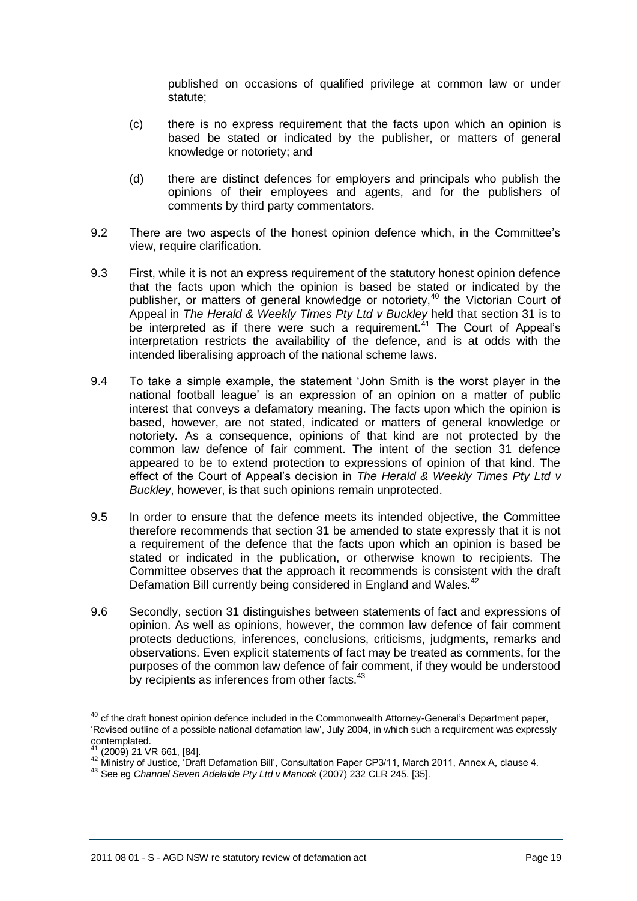published on occasions of qualified privilege at common law or under statute;

- (c) there is no express requirement that the facts upon which an opinion is based be stated or indicated by the publisher, or matters of general knowledge or notoriety; and
- (d) there are distinct defences for employers and principals who publish the opinions of their employees and agents, and for the publishers of comments by third party commentators.
- 9.2 There are two aspects of the honest opinion defence which, in the Committee's view, require clarification.
- 9.3 First, while it is not an express requirement of the statutory honest opinion defence that the facts upon which the opinion is based be stated or indicated by the publisher, or matters of general knowledge or notoriety,<sup>40</sup> the Victorian Court of Appeal in *The Herald & Weekly Times Pty Ltd v Buckley* held that section 31 is to be interpreted as if there were such a requirement. $41$  The Court of Appeal's interpretation restricts the availability of the defence, and is at odds with the intended liberalising approach of the national scheme laws.
- 9.4 To take a simple example, the statement 'John Smith is the worst player in the national football league' is an expression of an opinion on a matter of public interest that conveys a defamatory meaning. The facts upon which the opinion is based, however, are not stated, indicated or matters of general knowledge or notoriety. As a consequence, opinions of that kind are not protected by the common law defence of fair comment. The intent of the section 31 defence appeared to be to extend protection to expressions of opinion of that kind. The effect of the Court of Appeal's decision in *The Herald & Weekly Times Pty Ltd v Buckley*, however, is that such opinions remain unprotected.
- 9.5 In order to ensure that the defence meets its intended objective, the Committee therefore recommends that section 31 be amended to state expressly that it is not a requirement of the defence that the facts upon which an opinion is based be stated or indicated in the publication, or otherwise known to recipients. The Committee observes that the approach it recommends is consistent with the draft Defamation Bill currently being considered in England and Wales.<sup>42</sup>
- 9.6 Secondly, section 31 distinguishes between statements of fact and expressions of opinion. As well as opinions, however, the common law defence of fair comment protects deductions, inferences, conclusions, criticisms, judgments, remarks and observations. Even explicit statements of fact may be treated as comments, for the purposes of the common law defence of fair comment, if they would be understood by recipients as inferences from other facts.<sup>43</sup>

 $\overline{\phantom{a}}$  $40$  cf the draft honest opinion defence included in the Commonwealth Attorney-General's Department paper, 'Revised outline of a possible national defamation law', July 2004, in which such a requirement was expressly contemplated.

 $^{41}$  (2009) 21 VR 661, [84].

 $^{42}$  Ministry of Justice, 'Draft Defamation Bill', Consultation Paper CP3/11, March 2011, Annex A, clause 4.

<sup>43</sup> See eg *Channel Seven Adelaide Pty Ltd v Manock* (2007) 232 CLR 245, [35].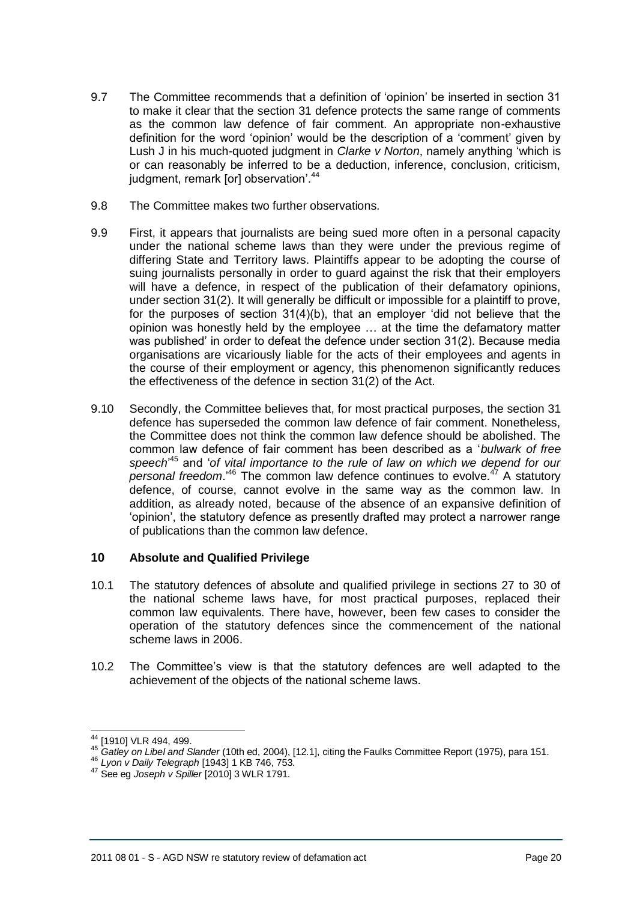- 9.7 The Committee recommends that a definition of 'opinion' be inserted in section 31 to make it clear that the section 31 defence protects the same range of comments as the common law defence of fair comment. An appropriate non-exhaustive definition for the word 'opinion' would be the description of a 'comment' given by Lush J in his much-quoted judgment in *Clarke v Norton*, namely anything 'which is or can reasonably be inferred to be a deduction, inference, conclusion, criticism, judgment, remark [or] observation<sup>'.44</sup>
- 9.8 The Committee makes two further observations.
- 9.9 First, it appears that journalists are being sued more often in a personal capacity under the national scheme laws than they were under the previous regime of differing State and Territory laws. Plaintiffs appear to be adopting the course of suing journalists personally in order to guard against the risk that their employers will have a defence, in respect of the publication of their defamatory opinions, under section 31(2). It will generally be difficult or impossible for a plaintiff to prove, for the purposes of section 31(4)(b), that an employer 'did not believe that the opinion was honestly held by the employee … at the time the defamatory matter was published' in order to defeat the defence under section 31(2). Because media organisations are vicariously liable for the acts of their employees and agents in the course of their employment or agency, this phenomenon significantly reduces the effectiveness of the defence in section 31(2) of the Act.
- 9.10 Secondly, the Committee believes that, for most practical purposes, the section 31 defence has superseded the common law defence of fair comment. Nonetheless, the Committee does not think the common law defence should be abolished. The common law defence of fair comment has been described as a '*bulwark of free speech*' <sup>45</sup> and '*of vital importance to the rule of law on which we depend for our personal freedom*.'<sup>46</sup> The common law defence continues to evolve.<sup>47</sup> A statutory defence, of course, cannot evolve in the same way as the common law. In addition, as already noted, because of the absence of an expansive definition of 'opinion', the statutory defence as presently drafted may protect a narrower range of publications than the common law defence.

# **10 Absolute and Qualified Privilege**

- 10.1 The statutory defences of absolute and qualified privilege in sections 27 to 30 of the national scheme laws have, for most practical purposes, replaced their common law equivalents. There have, however, been few cases to consider the operation of the statutory defences since the commencement of the national scheme laws in 2006.
- 10.2 The Committee's view is that the statutory defences are well adapted to the achievement of the objects of the national scheme laws.

 $\overline{\phantom{a}}$ <sup>44</sup> [1910] VLR 494, 499.

<sup>45</sup> *Gatley on Libel and Slander* (10th ed, 2004), [12.1], citing the Faulks Committee Report (1975), para 151.

<sup>46</sup> *Lyon v Daily Telegraph* [1943] 1 KB 746, 753.

<sup>47</sup> See eg *Joseph v Spiller* [2010] 3 WLR 1791.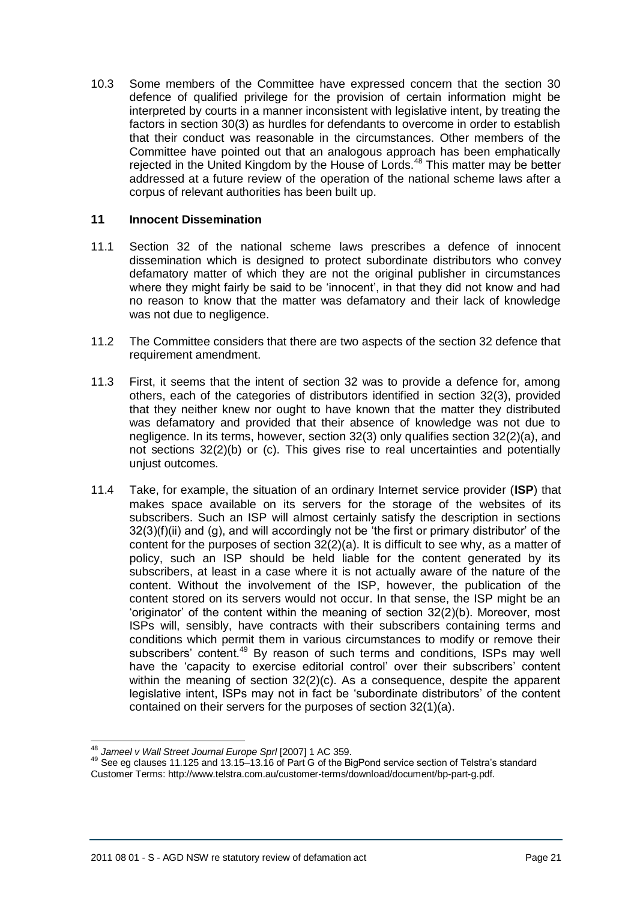10.3 Some members of the Committee have expressed concern that the section 30 defence of qualified privilege for the provision of certain information might be interpreted by courts in a manner inconsistent with legislative intent, by treating the factors in section 30(3) as hurdles for defendants to overcome in order to establish that their conduct was reasonable in the circumstances. Other members of the Committee have pointed out that an analogous approach has been emphatically rejected in the United Kingdom by the House of Lords.<sup>48</sup> This matter may be better addressed at a future review of the operation of the national scheme laws after a corpus of relevant authorities has been built up.

### **11 Innocent Dissemination**

- 11.1 Section 32 of the national scheme laws prescribes a defence of innocent dissemination which is designed to protect subordinate distributors who convey defamatory matter of which they are not the original publisher in circumstances where they might fairly be said to be 'innocent', in that they did not know and had no reason to know that the matter was defamatory and their lack of knowledge was not due to negligence.
- 11.2 The Committee considers that there are two aspects of the section 32 defence that requirement amendment.
- 11.3 First, it seems that the intent of section 32 was to provide a defence for, among others, each of the categories of distributors identified in section 32(3), provided that they neither knew nor ought to have known that the matter they distributed was defamatory and provided that their absence of knowledge was not due to negligence. In its terms, however, section 32(3) only qualifies section 32(2)(a), and not sections 32(2)(b) or (c). This gives rise to real uncertainties and potentially uniust outcomes.
- 11.4 Take, for example, the situation of an ordinary Internet service provider (**ISP**) that makes space available on its servers for the storage of the websites of its subscribers. Such an ISP will almost certainly satisfy the description in sections  $32(3)(f)(ii)$  and (g), and will accordingly not be 'the first or primary distributor' of the content for the purposes of section 32(2)(a). It is difficult to see why, as a matter of policy, such an ISP should be held liable for the content generated by its subscribers, at least in a case where it is not actually aware of the nature of the content. Without the involvement of the ISP, however, the publication of the content stored on its servers would not occur. In that sense, the ISP might be an 'originator' of the content within the meaning of section 32(2)(b). Moreover, most ISPs will, sensibly, have contracts with their subscribers containing terms and conditions which permit them in various circumstances to modify or remove their subscribers' content.<sup>49</sup> By reason of such terms and conditions, ISPs may well have the 'capacity to exercise editorial control' over their subscribers' content within the meaning of section 32(2)(c). As a consequence, despite the apparent legislative intent, ISPs may not in fact be 'subordinate distributors' of the content contained on their servers for the purposes of section 32(1)(a).

 <sup>48</sup> *Jameel v Wall Street Journal Europe Sprl* [2007] 1 AC 359.

<sup>49</sup> See eg clauses 11.125 and 13.15–13.16 of Part G of the BigPond service section of Telstra's standard Customer Terms: http://www.telstra.com.au/customer-terms/download/document/bp-part-g.pdf.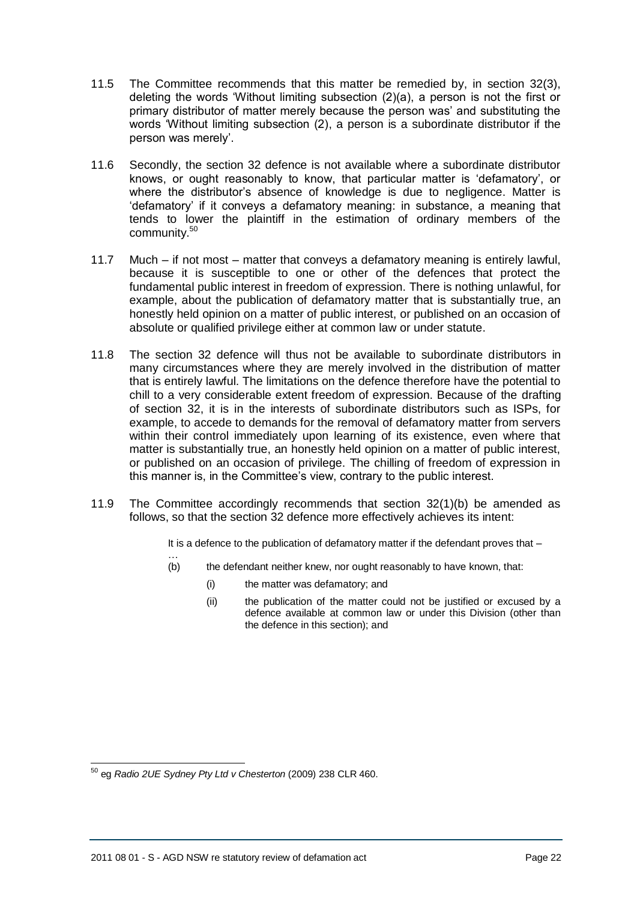- 11.5 The Committee recommends that this matter be remedied by, in section 32(3), deleting the words 'Without limiting subsection (2)(a), a person is not the first or primary distributor of matter merely because the person was' and substituting the words 'Without limiting subsection (2), a person is a subordinate distributor if the person was merely'.
- 11.6 Secondly, the section 32 defence is not available where a subordinate distributor knows, or ought reasonably to know, that particular matter is 'defamatory', or where the distributor's absence of knowledge is due to negligence. Matter is 'defamatory' if it conveys a defamatory meaning: in substance, a meaning that tends to lower the plaintiff in the estimation of ordinary members of the community.<sup>50</sup>
- 11.7 Much if not most matter that conveys a defamatory meaning is entirely lawful, because it is susceptible to one or other of the defences that protect the fundamental public interest in freedom of expression. There is nothing unlawful, for example, about the publication of defamatory matter that is substantially true, an honestly held opinion on a matter of public interest, or published on an occasion of absolute or qualified privilege either at common law or under statute.
- 11.8 The section 32 defence will thus not be available to subordinate distributors in many circumstances where they are merely involved in the distribution of matter that is entirely lawful. The limitations on the defence therefore have the potential to chill to a very considerable extent freedom of expression. Because of the drafting of section 32, it is in the interests of subordinate distributors such as ISPs, for example, to accede to demands for the removal of defamatory matter from servers within their control immediately upon learning of its existence, even where that matter is substantially true, an honestly held opinion on a matter of public interest, or published on an occasion of privilege. The chilling of freedom of expression in this manner is, in the Committee's view, contrary to the public interest.
- 11.9 The Committee accordingly recommends that section 32(1)(b) be amended as follows, so that the section 32 defence more effectively achieves its intent:

It is a defence to the publication of defamatory matter if the defendant proves that -

- … (b) the defendant neither knew, nor ought reasonably to have known, that:
	- (i) the matter was defamatory; and
	- (ii) the publication of the matter could not be justified or excused by a defence available at common law or under this Division (other than the defence in this section); and

 <sup>50</sup> eg *Radio 2UE Sydney Pty Ltd v Chesterton* (2009) 238 CLR 460.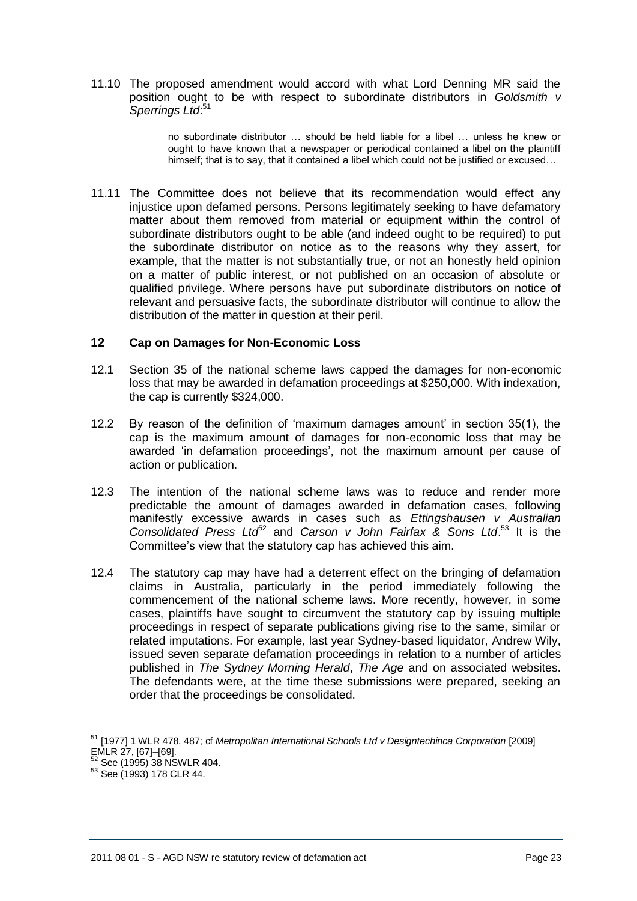11.10 The proposed amendment would accord with what Lord Denning MR said the position ought to be with respect to subordinate distributors in *Goldsmith v Sperrings Ltd*: 51

> no subordinate distributor … should be held liable for a libel … unless he knew or ought to have known that a newspaper or periodical contained a libel on the plaintiff himself; that is to say, that it contained a libel which could not be justified or excused…

11.11 The Committee does not believe that its recommendation would effect any injustice upon defamed persons. Persons legitimately seeking to have defamatory matter about them removed from material or equipment within the control of subordinate distributors ought to be able (and indeed ought to be required) to put the subordinate distributor on notice as to the reasons why they assert, for example, that the matter is not substantially true, or not an honestly held opinion on a matter of public interest, or not published on an occasion of absolute or qualified privilege. Where persons have put subordinate distributors on notice of relevant and persuasive facts, the subordinate distributor will continue to allow the distribution of the matter in question at their peril.

#### <span id="page-22-0"></span>**12 Cap on Damages for Non-Economic Loss**

- 12.1 Section 35 of the national scheme laws capped the damages for non-economic loss that may be awarded in defamation proceedings at \$250,000. With indexation, the cap is currently \$324,000.
- 12.2 By reason of the definition of 'maximum damages amount' in section 35(1), the cap is the maximum amount of damages for non-economic loss that may be awarded 'in defamation proceedings', not the maximum amount per cause of action or publication.
- 12.3 The intention of the national scheme laws was to reduce and render more predictable the amount of damages awarded in defamation cases, following manifestly excessive awards in cases such as *Ettingshausen v Australian*  Consolidated Press Ltd<sup>62</sup> and Carson v John Fairfax & Sons Ltd.<sup>53</sup> It is the Committee's view that the statutory cap has achieved this aim.
- 12.4 The statutory cap may have had a deterrent effect on the bringing of defamation claims in Australia, particularly in the period immediately following the commencement of the national scheme laws. More recently, however, in some cases, plaintiffs have sought to circumvent the statutory cap by issuing multiple proceedings in respect of separate publications giving rise to the same, similar or related imputations. For example, last year Sydney-based liquidator, Andrew Wily, issued seven separate defamation proceedings in relation to a number of articles published in *The Sydney Morning Herald*, *The Age* and on associated websites. The defendants were, at the time these submissions were prepared, seeking an order that the proceedings be consolidated.

 $\overline{a}$ 

<sup>&</sup>lt;sup>51</sup> [1977] 1 WLR 478, 487; cf *Metropolitan International Schools Ltd v Designtechinca Corporation* [2009] EMLR 27, [67]–[69].

<sup>52</sup> See (1995) 38 NSWLR 404.

<sup>53</sup> See (1993) 178 CLR 44.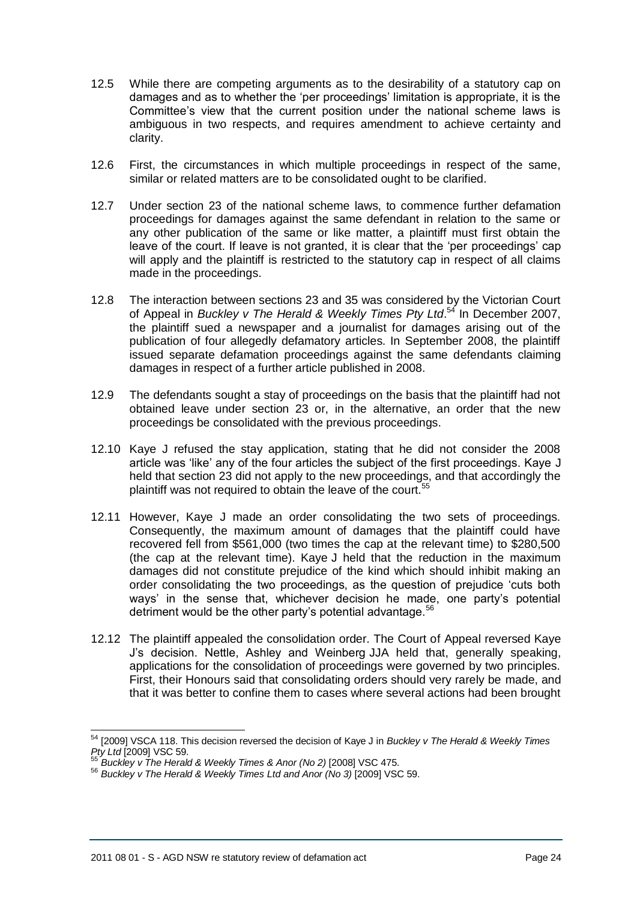- 12.5 While there are competing arguments as to the desirability of a statutory cap on damages and as to whether the 'per proceedings' limitation is appropriate, it is the Committee's view that the current position under the national scheme laws is ambiguous in two respects, and requires amendment to achieve certainty and clarity.
- 12.6 First, the circumstances in which multiple proceedings in respect of the same, similar or related matters are to be consolidated ought to be clarified.
- 12.7 Under section 23 of the national scheme laws, to commence further defamation proceedings for damages against the same defendant in relation to the same or any other publication of the same or like matter, a plaintiff must first obtain the leave of the court. If leave is not granted, it is clear that the 'per proceedings' cap will apply and the plaintiff is restricted to the statutory cap in respect of all claims made in the proceedings.
- 12.8 The interaction between sections 23 and 35 was considered by the Victorian Court of Appeal in *Buckley v The Herald & Weekly Times Pty Ltd*. <sup>54</sup> In December 2007, the plaintiff sued a newspaper and a journalist for damages arising out of the publication of four allegedly defamatory articles. In September 2008, the plaintiff issued separate defamation proceedings against the same defendants claiming damages in respect of a further article published in 2008.
- 12.9 The defendants sought a stay of proceedings on the basis that the plaintiff had not obtained leave under section 23 or, in the alternative, an order that the new proceedings be consolidated with the previous proceedings.
- 12.10 Kaye J refused the stay application, stating that he did not consider the 2008 article was 'like' any of the four articles the subject of the first proceedings. Kaye J held that section 23 did not apply to the new proceedings, and that accordingly the plaintiff was not required to obtain the leave of the court.<sup>5</sup>
- 12.11 However, Kaye J made an order consolidating the two sets of proceedings. Consequently, the maximum amount of damages that the plaintiff could have recovered fell from \$561,000 (two times the cap at the relevant time) to \$280,500 (the cap at the relevant time). Kaye J held that the reduction in the maximum damages did not constitute prejudice of the kind which should inhibit making an order consolidating the two proceedings, as the question of prejudice 'cuts both ways' in the sense that, whichever decision he made, one party's potential detriment would be the other party's potential advantage.<sup>56</sup>
- 12.12 The plaintiff appealed the consolidation order. The Court of Appeal reversed Kaye J's decision. Nettle, Ashley and Weinberg JJA held that, generally speaking, applications for the consolidation of proceedings were governed by two principles. First, their Honours said that consolidating orders should very rarely be made, and that it was better to confine them to cases where several actions had been brought

 $\overline{a}$ 

<sup>54</sup> [2009] VSCA 118. This decision reversed the decision of Kaye J in *Buckley v The Herald & Weekly Times Pty Ltd* [2009] VSC 59.

<sup>55</sup> *Buckley v The Herald & Weekly Times & Anor (No 2)* [2008] VSC 475.

<sup>56</sup> *Buckley v The Herald & Weekly Times Ltd and Anor (No 3)* [2009] VSC 59.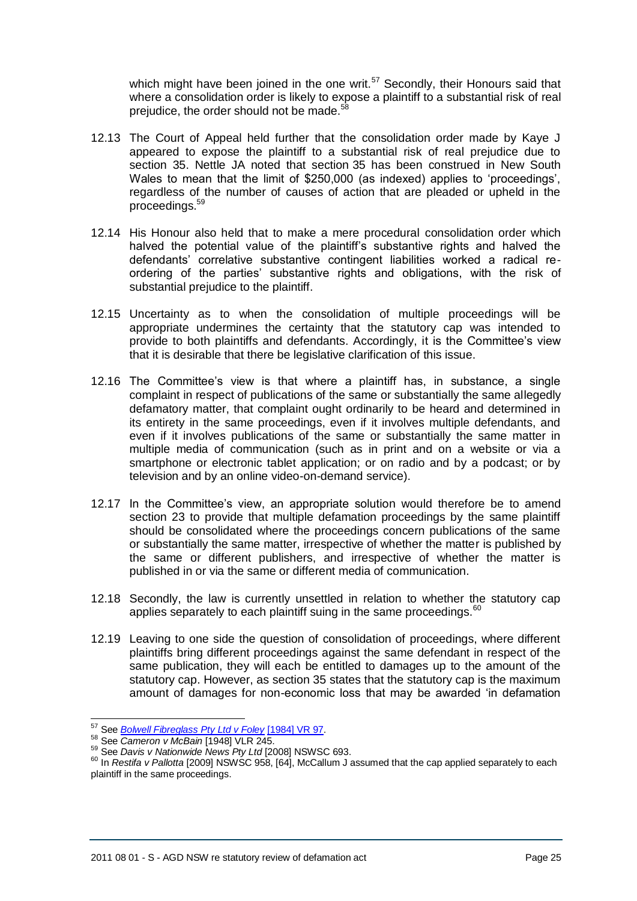which might have been joined in the one writ. $57$  Secondly, their Honours said that where a consolidation order is likely to expose a plaintiff to a substantial risk of real prejudice, the order should not be made.<sup>5</sup>

- 12.13 The Court of Appeal held further that the consolidation order made by Kaye J appeared to expose the plaintiff to a substantial risk of real prejudice due to section 35. Nettle JA noted that section 35 has been construed in New South Wales to mean that the limit of \$250,000 (as indexed) applies to 'proceedings', regardless of the number of causes of action that are pleaded or upheld in the proceedings.<sup>59</sup>
- 12.14 His Honour also held that to make a mere procedural consolidation order which halved the potential value of the plaintiff's substantive rights and halved the defendants' correlative substantive contingent liabilities worked a radical reordering of the parties' substantive rights and obligations, with the risk of substantial prejudice to the plaintiff.
- 12.15 Uncertainty as to when the consolidation of multiple proceedings will be appropriate undermines the certainty that the statutory cap was intended to provide to both plaintiffs and defendants. Accordingly, it is the Committee's view that it is desirable that there be legislative clarification of this issue.
- 12.16 The Committee's view is that where a plaintiff has, in substance, a single complaint in respect of publications of the same or substantially the same allegedly defamatory matter, that complaint ought ordinarily to be heard and determined in its entirety in the same proceedings, even if it involves multiple defendants, and even if it involves publications of the same or substantially the same matter in multiple media of communication (such as in print and on a website or via a smartphone or electronic tablet application; or on radio and by a podcast; or by television and by an online video-on-demand service).
- 12.17 In the Committee's view, an appropriate solution would therefore be to amend section 23 to provide that multiple defamation proceedings by the same plaintiff should be consolidated where the proceedings concern publications of the same or substantially the same matter, irrespective of whether the matter is published by the same or different publishers, and irrespective of whether the matter is published in or via the same or different media of communication.
- 12.18 Secondly, the law is currently unsettled in relation to whether the statutory cap applies separately to each plaintiff suing in the same proceedings.<sup>60</sup>
- 12.19 Leaving to one side the question of consolidation of proceedings, where different plaintiffs bring different proceedings against the same defendant in respect of the same publication, they will each be entitled to damages up to the amount of the statutory cap. However, as section 35 states that the statutory cap is the maximum amount of damages for non-economic loss that may be awarded 'in defamation

<sup>57</sup> See *[Bolwell Fibreglass Pty Ltd v Foley](http://www.lexisnexis.com/au/legal/search/runRemoteLink.do?langcountry=AU&linkInfo=F%23AU%23vr%23year%251984%25page%2597%25sel1%251984%25&risb=21_T12408013153&bct=A&service=citation&A=0.5151970418849828)* [\[1984\] VR 97.](http://www.lexisnexis.com/au/legal/search/runRemoteLink.do?langcountry=AU&linkInfo=F%23AU%23vr%23year%251984%25page%2597%25sel1%251984%25&risb=21_T12409263916&bct=A&service=citation&A=0.07687051860730976)

<sup>58</sup> See *Cameron v McBain* [1948] VLR 245.

<sup>59</sup> See *Davis v Nationwide News Pty Ltd* [2008] NSWSC 693.

<sup>60</sup> In *Restifa v Pallotta* [2009] NSWSC 958, [64], McCallum J assumed that the cap applied separately to each plaintiff in the same proceedings.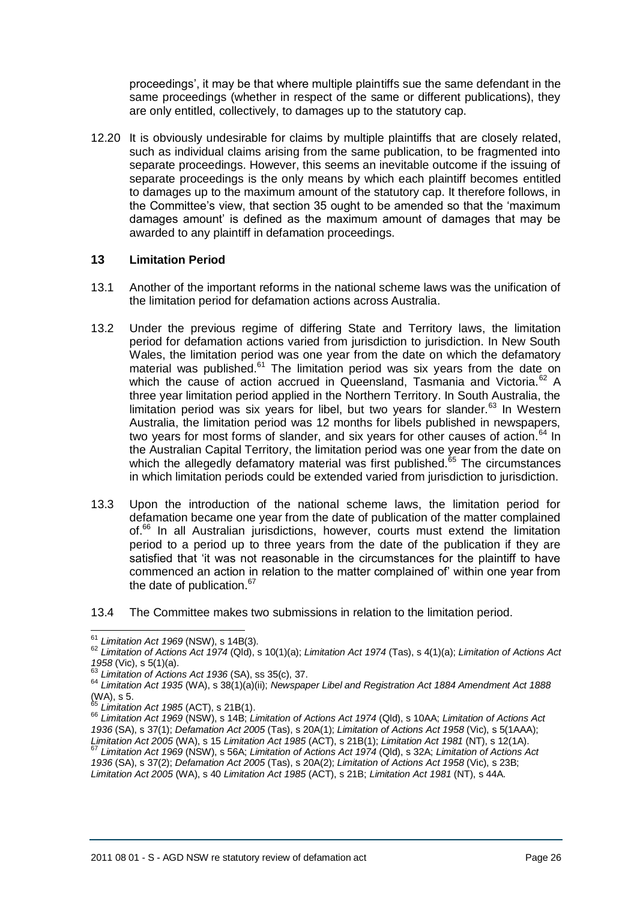proceedings', it may be that where multiple plaintiffs sue the same defendant in the same proceedings (whether in respect of the same or different publications), they are only entitled, collectively, to damages up to the statutory cap.

12.20 It is obviously undesirable for claims by multiple plaintiffs that are closely related, such as individual claims arising from the same publication, to be fragmented into separate proceedings. However, this seems an inevitable outcome if the issuing of separate proceedings is the only means by which each plaintiff becomes entitled to damages up to the maximum amount of the statutory cap. It therefore follows, in the Committee's view, that section 35 ought to be amended so that the 'maximum damages amount' is defined as the maximum amount of damages that may be awarded to any plaintiff in defamation proceedings.

### **13 Limitation Period**

- 13.1 Another of the important reforms in the national scheme laws was the unification of the limitation period for defamation actions across Australia.
- 13.2 Under the previous regime of differing State and Territory laws, the limitation period for defamation actions varied from jurisdiction to jurisdiction. In New South Wales, the limitation period was one year from the date on which the defamatory material was published. $61$  The limitation period was six years from the date on which the cause of action accrued in Queensland. Tasmania and Victoria.<sup>62</sup> A three year limitation period applied in the Northern Territory. In South Australia, the limitation period was six years for libel, but two years for slander. $63$  In Western Australia, the limitation period was 12 months for libels published in newspapers, two years for most forms of slander, and six years for other causes of action. $64$  In the Australian Capital Territory, the limitation period was one year from the date on which the allegedly defamatory material was first published.<sup>65</sup> The circumstances in which limitation periods could be extended varied from jurisdiction to jurisdiction.
- 13.3 Upon the introduction of the national scheme laws, the limitation period for defamation became one year from the date of publication of the matter complained of.<sup>66</sup> In all Australian jurisdictions, however, courts must extend the limitation period to a period up to three years from the date of the publication if they are satisfied that 'it was not reasonable in the circumstances for the plaintiff to have commenced an action in relation to the matter complained of' within one year from the date of publication.<sup>67</sup>
- 13.4 The Committee makes two submissions in relation to the limitation period.

 <sup>61</sup> *Limitation Act 1969* (NSW), s 14B(3).

<sup>62</sup> *Limitation of Actions Act 1974* (Qld), s 10(1)(a); *Limitation Act 1974* (Tas), s 4(1)(a); *Limitation of Actions Act 1958* (Vic), s 5(1)(a).

<sup>63</sup> *Limitation of Actions Act 1936* (SA), ss 35(c), 37.

<sup>64</sup> *Limitation Act 1935* (WA), s 38(1)(a)(ii); *Newspaper Libel and Registration Act 1884 Amendment Act 1888*   $(MA)$ , s 5.

<sup>65</sup> *Limitation Act 1985* (ACT), s 21B(1).

<sup>66</sup> *Limitation Act 1969* (NSW), s 14B; *Limitation of Actions Act 1974* (Qld), s 10AA; *Limitation of Actions Act 1936* (SA), s 37(1); *Defamation Act 2005* (Tas), s 20A(1); *Limitation of Actions Act 1958* (Vic), s 5(1AAA); *Limitation Act 2005* (WA), s 15 *Limitation Act 1985* (ACT), s 21B(1); *Limitation Act 1981* (NT), s 12(1A).

<sup>67</sup> *Limitation Act 1969* (NSW), s 56A; *Limitation of Actions Act 1974* (Qld), s 32A; *Limitation of Actions Act 1936* (SA), s 37(2); *Defamation Act 2005* (Tas), s 20A(2); *Limitation of Actions Act 1958* (Vic), s 23B;

*Limitation Act 2005* (WA), s 40 *Limitation Act 1985* (ACT), s 21B; *Limitation Act 1981* (NT), s 44A.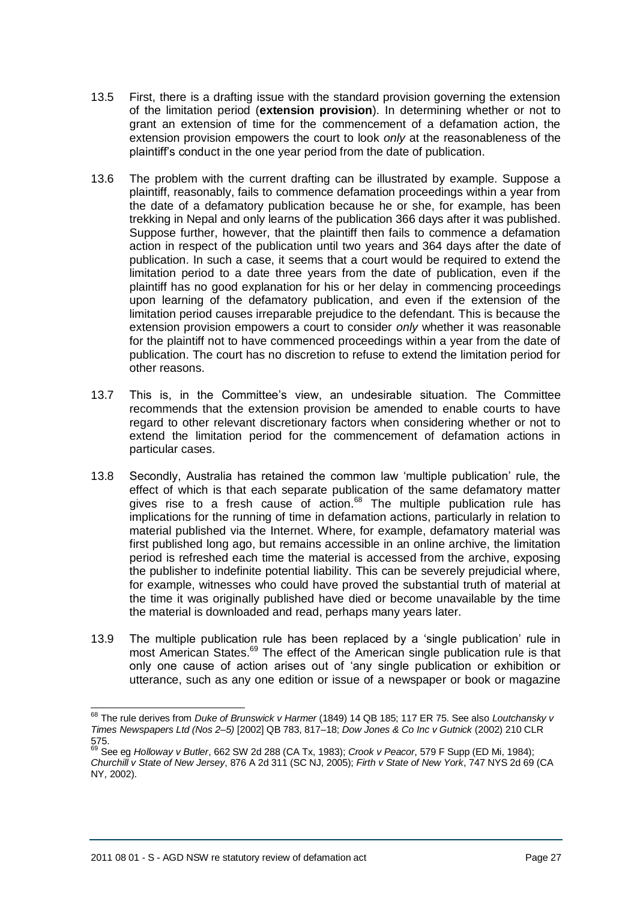- 13.5 First, there is a drafting issue with the standard provision governing the extension of the limitation period (**extension provision**). In determining whether or not to grant an extension of time for the commencement of a defamation action, the extension provision empowers the court to look *only* at the reasonableness of the plaintiff's conduct in the one year period from the date of publication.
- 13.6 The problem with the current drafting can be illustrated by example. Suppose a plaintiff, reasonably, fails to commence defamation proceedings within a year from the date of a defamatory publication because he or she, for example, has been trekking in Nepal and only learns of the publication 366 days after it was published. Suppose further, however, that the plaintiff then fails to commence a defamation action in respect of the publication until two years and 364 days after the date of publication. In such a case, it seems that a court would be required to extend the limitation period to a date three years from the date of publication, even if the plaintiff has no good explanation for his or her delay in commencing proceedings upon learning of the defamatory publication, and even if the extension of the limitation period causes irreparable prejudice to the defendant. This is because the extension provision empowers a court to consider *only* whether it was reasonable for the plaintiff not to have commenced proceedings within a year from the date of publication. The court has no discretion to refuse to extend the limitation period for other reasons.
- 13.7 This is, in the Committee's view, an undesirable situation. The Committee recommends that the extension provision be amended to enable courts to have regard to other relevant discretionary factors when considering whether or not to extend the limitation period for the commencement of defamation actions in particular cases.
- 13.8 Secondly, Australia has retained the common law 'multiple publication' rule, the effect of which is that each separate publication of the same defamatory matter gives rise to a fresh cause of action. $68$  The multiple publication rule has implications for the running of time in defamation actions, particularly in relation to material published via the Internet. Where, for example, defamatory material was first published long ago, but remains accessible in an online archive, the limitation period is refreshed each time the material is accessed from the archive, exposing the publisher to indefinite potential liability. This can be severely prejudicial where, for example, witnesses who could have proved the substantial truth of material at the time it was originally published have died or become unavailable by the time the material is downloaded and read, perhaps many years later.
- 13.9 The multiple publication rule has been replaced by a 'single publication' rule in most American States.<sup>69</sup> The effect of the American single publication rule is that only one cause of action arises out of 'any single publication or exhibition or utterance, such as any one edition or issue of a newspaper or book or magazine

 $\overline{a}$ 

<sup>68</sup> The rule derives from *Duke of Brunswick v Harmer* (1849) 14 QB 185; 117 ER 75. See also *Loutchansky v Times Newspapers Ltd (Nos 2–5)* [2002] QB 783, 817–18; *Dow Jones & Co Inc v Gutnick* (2002) 210 CLR 575.

<sup>69</sup> See eg *Holloway v Butler*, 662 SW 2d 288 (CA Tx, 1983); *Crook v Peacor*, 579 F Supp (ED Mi, 1984); *Churchill v State of New Jersey*, 876 A 2d 311 (SC NJ, 2005); *Firth v State of New York*, 747 NYS 2d 69 (CA NY, 2002).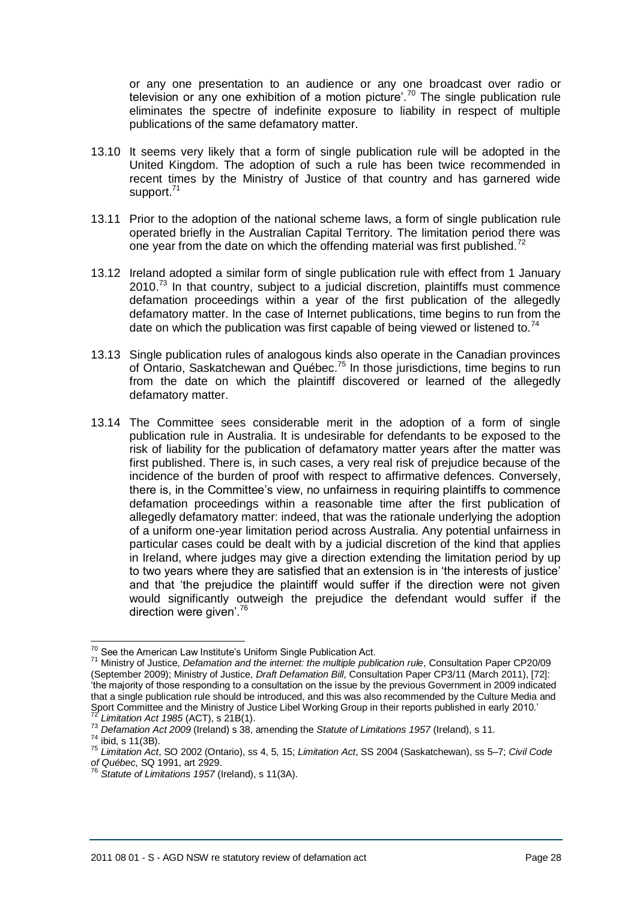or any one presentation to an audience or any one broadcast over radio or television or any one exhibition of a motion picture'.<sup>70</sup> The single publication rule eliminates the spectre of indefinite exposure to liability in respect of multiple publications of the same defamatory matter.

- 13.10 It seems very likely that a form of single publication rule will be adopted in the United Kingdom. The adoption of such a rule has been twice recommended in recent times by the Ministry of Justice of that country and has garnered wide support.<sup>71</sup>
- 13.11 Prior to the adoption of the national scheme laws, a form of single publication rule operated briefly in the Australian Capital Territory. The limitation period there was one year from the date on which the offending material was first published.<sup>72</sup>
- 13.12 Ireland adopted a similar form of single publication rule with effect from 1 January  $2010<sup>73</sup>$  In that country, subject to a judicial discretion, plaintiffs must commence defamation proceedings within a year of the first publication of the allegedly defamatory matter. In the case of Internet publications, time begins to run from the date on which the publication was first capable of being viewed or listened to.<sup>74</sup>
- 13.13 Single publication rules of analogous kinds also operate in the Canadian provinces of Ontario, Saskatchewan and Québec.<sup>75</sup> In those jurisdictions, time begins to run from the date on which the plaintiff discovered or learned of the allegedly defamatory matter.
- 13.14 The Committee sees considerable merit in the adoption of a form of single publication rule in Australia. It is undesirable for defendants to be exposed to the risk of liability for the publication of defamatory matter years after the matter was first published. There is, in such cases, a very real risk of prejudice because of the incidence of the burden of proof with respect to affirmative defences. Conversely, there is, in the Committee's view, no unfairness in requiring plaintiffs to commence defamation proceedings within a reasonable time after the first publication of allegedly defamatory matter: indeed, that was the rationale underlying the adoption of a uniform one-year limitation period across Australia. Any potential unfairness in particular cases could be dealt with by a judicial discretion of the kind that applies in Ireland, where judges may give a direction extending the limitation period by up to two years where they are satisfied that an extension is in 'the interests of justice' and that 'the prejudice the plaintiff would suffer if the direction were not given would significantly outweigh the prejudice the defendant would suffer if the direction were given'.<sup>76</sup>

 $\overline{a}$  $70$  See the American Law Institute's Uniform Single Publication Act.

<sup>71</sup> Ministry of Justice, *Defamation and the internet: the multiple publication rule*, Consultation Paper CP20/09 (September 2009); Ministry of Justice, *Draft Defamation Bill*, Consultation Paper CP3/11 (March 2011), [72]: 'the majority of those responding to a consultation on the issue by the previous Government in 2009 indicated that a single publication rule should be introduced, and this was also recommended by the Culture Media and Sport Committee and the Ministry of Justice Libel Working Group in their reports published in early 2010.' <sup>72</sup> *Limitation Act 1985* (ACT), s 21B(1).

<sup>73</sup> *Defamation Act 2009* (Ireland) s 38, amending the *Statute of Limitations 1957* (Ireland), s 11.

 $74$  ibid, s 11(3B).

<sup>75</sup> *Limitation Act*, SO 2002 (Ontario), ss 4, 5, 15; *Limitation Act*, SS 2004 (Saskatchewan), ss 5–7; *Civil Code of Québec*, SQ 1991, art 2929.

<sup>76</sup> *Statute of Limitations 1957* (Ireland), s 11(3A).